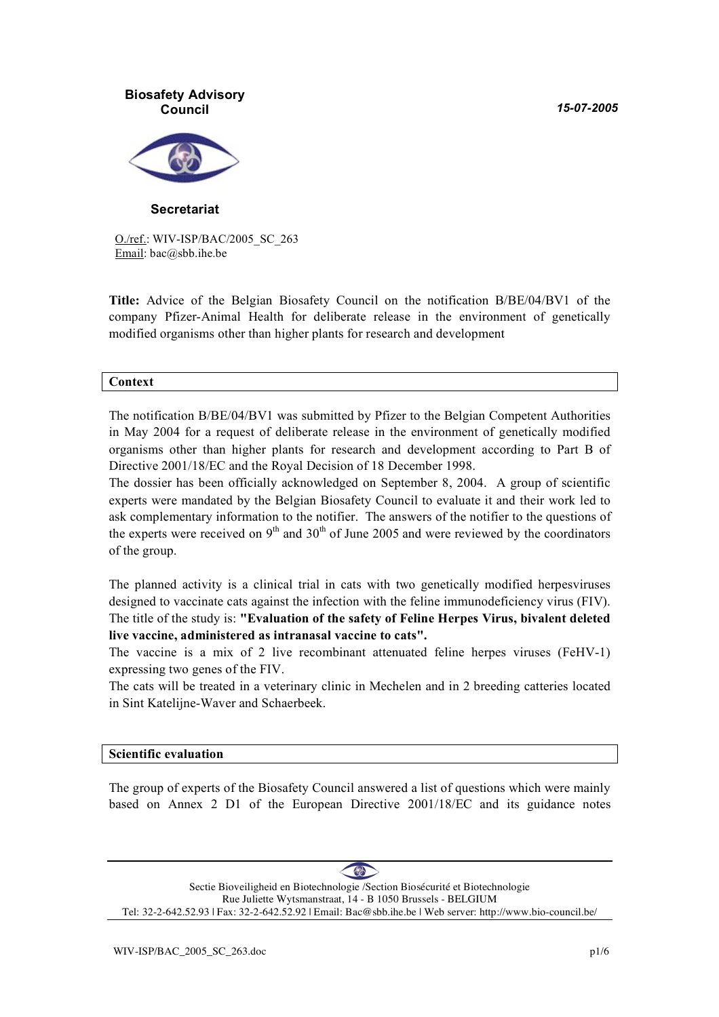*15-07-2005*



**Secretariat**

O./ref.: WIV-ISP/BAC/2005\_SC\_263 Email: bac@sbb.ihe.be

**Title:** Advice of the Belgian Biosafety Council on the notification B/BE/04/BV1 of the company Pfizer-Animal Health for deliberate release in the environment of genetically modified organisms other than higher plants for research and development

#### **Context**

The notification B/BE/04/BV1 was submitted by Pfizer to the Belgian Competent Authorities in May 2004 for a request of deliberate release in the environment of genetically modified organisms other than higher plants for research and development according to Part B of Directive 2001/18/EC and the Royal Decision of 18 December 1998.

The dossier has been officially acknowledged on September 8, 2004. A group of scientific experts were mandated by the Belgian Biosafety Council to evaluate it and their work led to ask complementary information to the notifier. The answers of the notifier to the questions of the experts were received on 9<sup>th</sup> and 30<sup>th</sup> of June 2005 and were reviewed by the coordinators of the group.

The planned activity is a clinical trial in cats with two genetically modified herpesviruses designed to vaccinate cats against the infection with the feline immunodeficiency virus (FIV). The title of the study is: **"Evaluation of the safety of Feline Herpes Virus, bivalent deleted live vaccine, administered as intranasal vaccine to cats".**

The vaccine is a mix of 2 live recombinant attenuated feline herpes viruses (FeHV-1) expressing two genes of the FIV.

The cats will be treated in a veterinary clinic in Mechelen and in 2 breeding catteries located in Sint Katelijne-Waver and Schaerbeek.

#### **Scientific evaluation**

The group of experts of the Biosafety Council answered a list of questions which were mainly based on Annex 2 D1 of the European Directive 2001/18/EC and its guidance notes

 $\left( \frac{1}{\sqrt{2}}\right)$ Sectie Bioveiligheid en Biotechnologie /Section Biosécurité et Biotechnologie Rue Juliette Wytsmanstraat, 14 - B 1050 Brussels - BELGIUM Tel: 32-2-642.52.93 | Fax: 32-2-642.52.92 | Email: Bac@sbb.ihe.be | Web server: http://www.bio-council.be/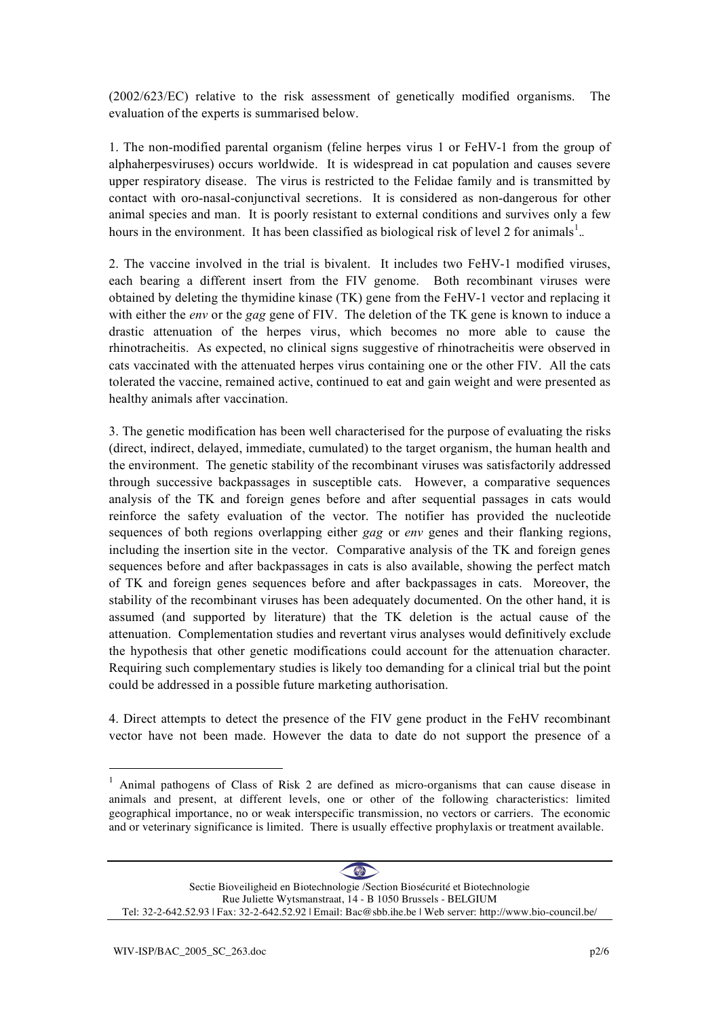(2002/623/EC) relative to the risk assessment of genetically modified organisms. The evaluation of the experts is summarised below.

1. The non-modified parental organism (feline herpes virus 1 or FeHV-1 from the group of alphaherpesviruses) occurs worldwide. It is widespread in cat population and causes severe upper respiratory disease. The virus is restricted to the Felidae family and is transmitted by contact with oro-nasal-conjunctival secretions. It is considered as non-dangerous for other animal species and man. It is poorly resistant to external conditions and survives only a few hours in the environment. It has been classified as biological risk of level 2 for animals<sup>1</sup>...

2. The vaccine involved in the trial is bivalent. It includes two FeHV-1 modified viruses, each bearing a different insert from the FIV genome. Both recombinant viruses were obtained by deleting the thymidine kinase (TK) gene from the FeHV-1 vector and replacing it with either the *env* or the *gag* gene of FIV. The deletion of the TK gene is known to induce a drastic attenuation of the herpes virus, which becomes no more able to cause the rhinotracheitis. As expected, no clinical signs suggestive of rhinotracheitis were observed in cats vaccinated with the attenuated herpes virus containing one or the other FIV. All the cats tolerated the vaccine, remained active, continued to eat and gain weight and were presented as healthy animals after vaccination.

3. The genetic modification has been well characterised for the purpose of evaluating the risks (direct, indirect, delayed, immediate, cumulated) to the target organism, the human health and the environment. The genetic stability of the recombinant viruses was satisfactorily addressed through successive backpassages in susceptible cats. However, a comparative sequences analysis of the TK and foreign genes before and after sequential passages in cats would reinforce the safety evaluation of the vector. The notifier has provided the nucleotide sequences of both regions overlapping either *gag* or *env* genes and their flanking regions, including the insertion site in the vector. Comparative analysis of the TK and foreign genes sequences before and after backpassages in cats is also available, showing the perfect match of TK and foreign genes sequences before and after backpassages in cats. Moreover, the stability of the recombinant viruses has been adequately documented. On the other hand, it is assumed (and supported by literature) that the TK deletion is the actual cause of the attenuation. Complementation studies and revertant virus analyses would definitively exclude the hypothesis that other genetic modifications could account for the attenuation character. Requiring such complementary studies is likely too demanding for a clinical trial but the point could be addressed in a possible future marketing authorisation.

4. Direct attempts to detect the presence of the FIV gene product in the FeHV recombinant vector have not been made. However the data to date do not support the presence of a

<sup>&</sup>lt;sup>1</sup> Animal pathogens of Class of Risk 2 are defined as micro-organisms that can cause disease in animals and present, at different levels, one or other of the following characteristics: limited geographical importance, no or weak interspecific transmission, no vectors or carriers. The economic and or veterinary significance is limited. There is usually effective prophylaxis or treatment available.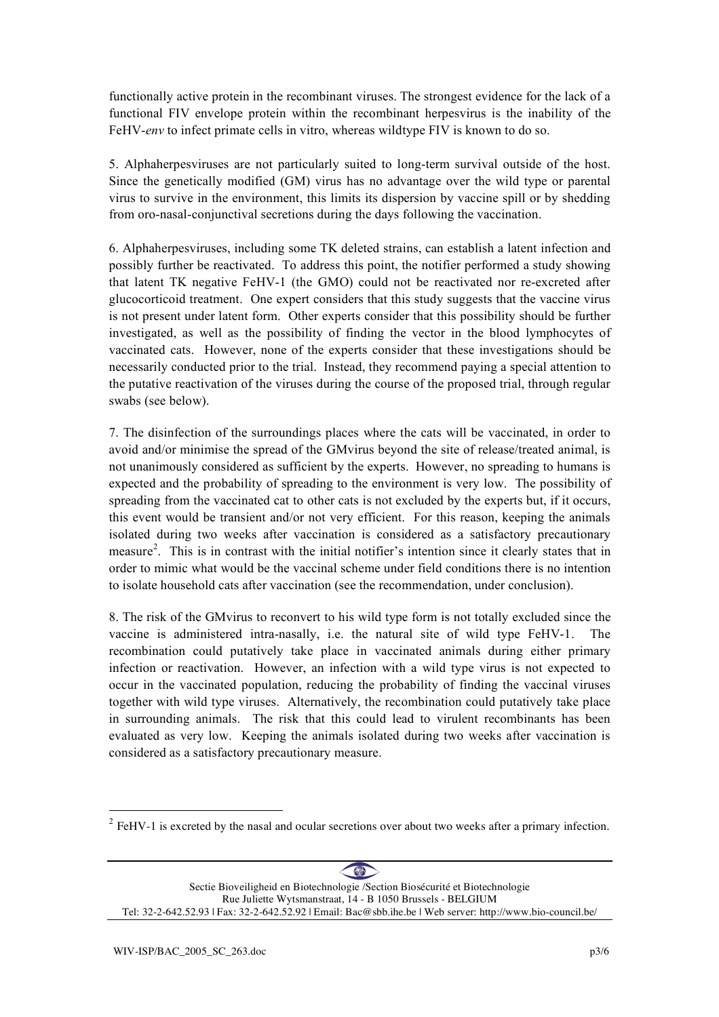functionally active protein in the recombinant viruses. The strongest evidence for the lack of a functional FIV envelope protein within the recombinant herpesvirus is the inability of the FeHV-*env* to infect primate cells in vitro, whereas wildtype FIV is known to do so.

5. Alphaherpesviruses are not particularly suited to long-term survival outside of the host. Since the genetically modified (GM) virus has no advantage over the wild type or parental virus to survive in the environment, this limits its dispersion by vaccine spill or by shedding from oro-nasal-conjunctival secretions during the days following the vaccination.

6. Alphaherpesviruses, including some TK deleted strains, can establish a latent infection and possibly further be reactivated. To address this point, the notifier performed a study showing that latent TK negative FeHV-1 (the GMO) could not be reactivated nor re-excreted after glucocorticoid treatment. One expert considers that this study suggests that the vaccine virus is not present under latent form. Other experts consider that this possibility should be further investigated, as well as the possibility of finding the vector in the blood lymphocytes of vaccinated cats. However, none of the experts consider that these investigations should be necessarily conducted prior to the trial. Instead, they recommend paying a special attention to the putative reactivation of the viruses during the course of the proposed trial, through regular swabs (see below).

7. The disinfection of the surroundings places where the cats will be vaccinated, in order to avoid and/or minimise the spread of the GMvirus beyond the site of release/treated animal, is not unanimously considered as sufficient by the experts. However, no spreading to humans is expected and the probability of spreading to the environment is very low. The possibility of spreading from the vaccinated cat to other cats is not excluded by the experts but, if it occurs, this event would be transient and/or not very efficient. For this reason, keeping the animals isolated during two weeks after vaccination is considered as a satisfactory precautionary measure<sup>2</sup>. This is in contrast with the initial notifier's intention since it clearly states that in order to mimic what would be the vaccinal scheme under field conditions there is no intention to isolate household cats after vaccination (see the recommendation, under conclusion).

8. The risk of the GMvirus to reconvert to his wild type form is not totally excluded since the vaccine is administered intra-nasally, i.e. the natural site of wild type  $FeHV-1$ . recombination could putatively take place in vaccinated animals during either primary infection or reactivation. However, an infection with a wild type virus is not expected to occur in the vaccinated population, reducing the probability of finding the vaccinal viruses together with wild type viruses. Alternatively, the recombination could putatively take place in surrounding animals. The risk that this could lead to virulent recombinants has been evaluated as very low. Keeping the animals isolated during two weeks after vaccination is considered as a satisfactory precautionary measure.

 $2$  FeHV-1 is excreted by the nasal and ocular secretions over about two weeks after a primary infection.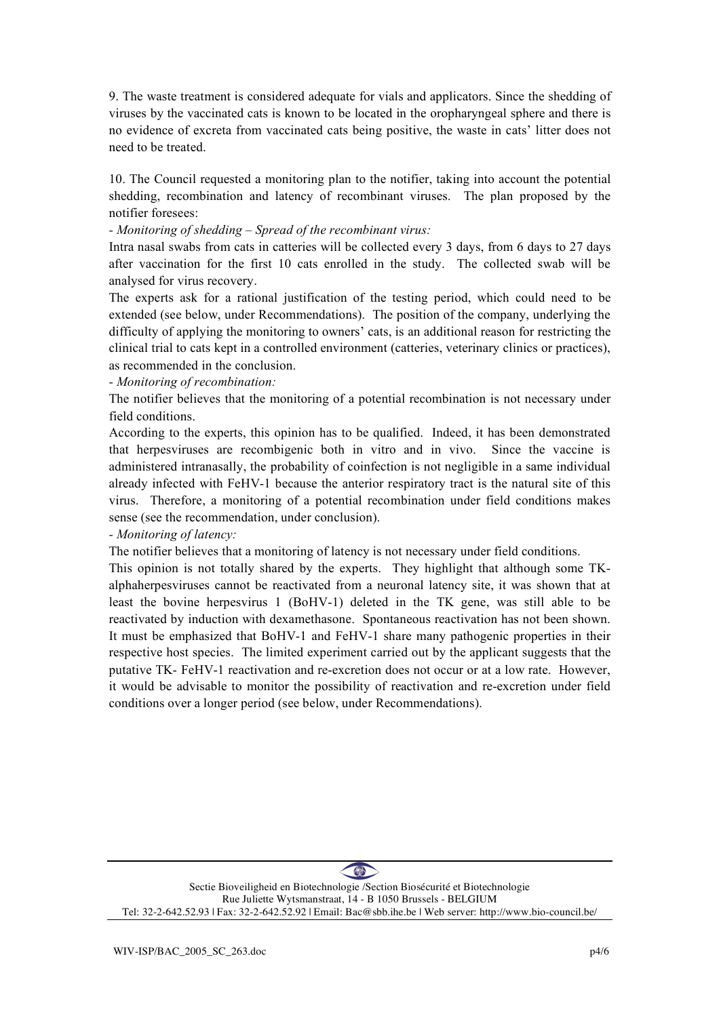9. The waste treatment is considered adequate for vials and applicators. Since the shedding of viruses by the vaccinated cats is known to be located in the oropharyngeal sphere and there is no evidence of excreta from vaccinated cats being positive, the waste in cats' litter does not need to be treated.

10. The Council requested a monitoring plan to the notifier, taking into account the potential shedding, recombination and latency of recombinant viruses. The plan proposed by the notifier foresees:

#### *- Monitoring of shedding – Spread of the recombinant virus:*

Intra nasal swabs from cats in catteries will be collected every 3 days, from 6 days to 27 days after vaccination for the first 10 cats enrolled in the study. The collected swab will be analysed for virus recovery.

The experts ask for a rational justification of the testing period, which could need to be extended (see below, under Recommendations). The position of the company, underlying the difficulty of applying the monitoring to owners' cats, is an additional reason for restricting the clinical trial to cats kept in a controlled environment (catteries, veterinary clinics or practices), as recommended in the conclusion.

*- Monitoring of recombination:*

The notifier believes that the monitoring of a potential recombination is not necessary under field conditions.

According to the experts, this opinion has to be qualified. Indeed, it has been demonstrated that herpesviruses are recombigenic both in vitro and in vivo. Since the vaccine is administered intranasally, the probability of coinfection is not negligible in a same individual already infected with FeHV-1 because the anterior respiratory tract is the natural site of this virus. Therefore, a monitoring of a potential recombination under field conditions makes sense (see the recommendation, under conclusion).

#### *- Monitoring of latency:*

The notifier believes that a monitoring of latency is not necessary under field conditions.

This opinion is not totally shared by the experts. They highlight that although some TKalphaherpesviruses cannot be reactivated from a neuronal latency site, it was shown that at least the bovine herpesvirus 1 (BoHV-1) deleted in the TK gene, was still able to be reactivated by induction with dexamethasone. Spontaneous reactivation has not been shown. It must be emphasized that BoHV-1 and FeHV-1 share many pathogenic properties in their respective host species. The limited experiment carried out by the applicant suggests that the putative TK- FeHV-1 reactivation and re-excretion does not occur or at a low rate. However, it would be advisable to monitor the possibility of reactivation and re-excretion under field conditions over a longer period (see below, under Recommendations).

 $\left( \frac{1}{\sqrt{2}}\right)$ Sectie Bioveiligheid en Biotechnologie /Section Biosécurité et Biotechnologie Rue Juliette Wytsmanstraat, 14 - B 1050 Brussels - BELGIUM Tel: 32-2-642.52.93 | Fax: 32-2-642.52.92 | Email: Bac@sbb.ihe.be | Web server: http://www.bio-council.be/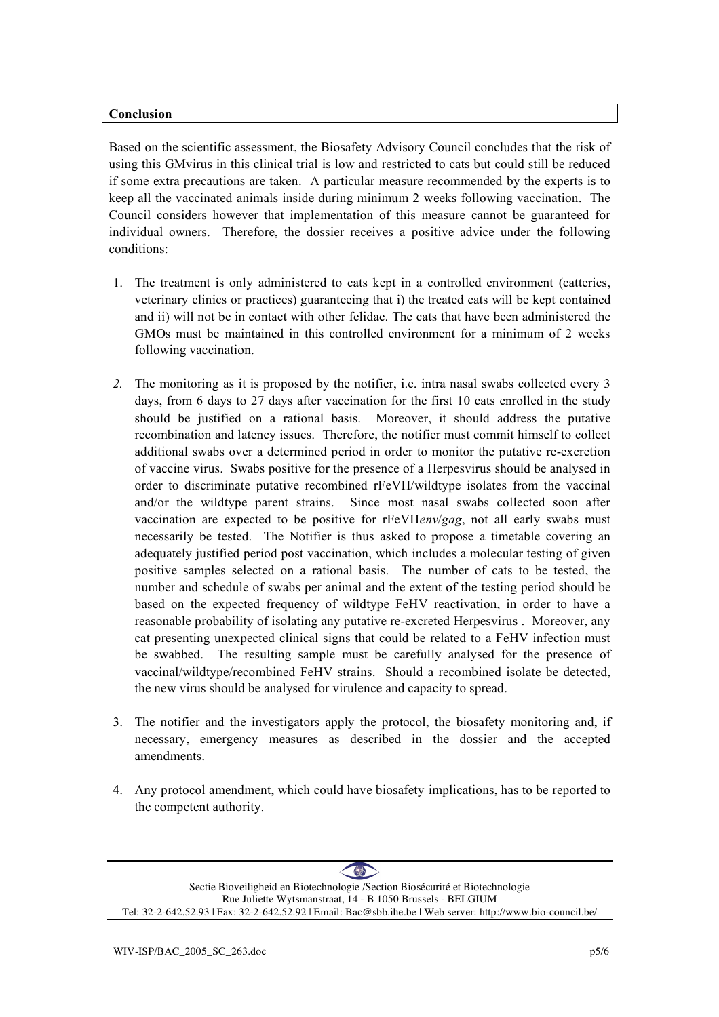#### **Conclusion**

Based on the scientific assessment, the Biosafety Advisory Council concludes that the risk of using this GMvirus in this clinical trial is low and restricted to cats but could still be reduced if some extra precautions are taken. A particular measure recommended by the experts is to keep all the vaccinated animals inside during minimum 2 weeks following vaccination. The Council considers however that implementation of this measure cannot be guaranteed for individual owners. Therefore, the dossier receives a positive advice under the following conditions:

- 1. The treatment is only administered to cats kept in a controlled environment (catteries, veterinary clinics or practices) guaranteeing that i) the treated cats will be kept contained and ii) will not be in contact with other felidae. The cats that have been administered the GMOs must be maintained in this controlled environment for a minimum of 2 weeks following vaccination.
- *2.* The monitoring as it is proposed by the notifier, i.e. intra nasal swabs collected every 3 days, from 6 days to 27 days after vaccination for the first 10 cats enrolled in the study should be justified on a rational basis. Moreover, it should address the putative recombination and latency issues. Therefore, the notifier must commit himself to collect additional swabs over a determined period in order to monitor the putative re-excretion of vaccine virus. Swabs positive for the presence of a Herpesvirus should be analysed in order to discriminate putative recombined rFeVH/wildtype isolates from the vaccinal and/or the wildtype parent strains. Since most nasal swabs collected soon after vaccination are expected to be positive for rFeVH*env*/*gag*, not all early swabs must necessarily be tested. The Notifier is thus asked to propose a timetable covering an adequately justified period post vaccination, which includes a molecular testing of given positive samples selected on a rational basis. The number of cats to be tested, the number and schedule of swabs per animal and the extent of the testing period should be based on the expected frequency of wildtype FeHV reactivation, in order to have a reasonable probability of isolating any putative re-excreted Herpesvirus . Moreover, any cat presenting unexpected clinical signs that could be related to a FeHV infection must be swabbed. The resulting sample must be carefully analysed for the presence of vaccinal/wildtype/recombined FeHV strains. Should a recombined isolate be detected, the new virus should be analysed for virulence and capacity to spread.
- 3. The notifier and the investigators apply the protocol, the biosafety monitoring and, if necessary, emergency measures as described in the dossier and the accepted amendments.
- 4. Any protocol amendment, which could have biosafety implications, has to be reported to the competent authority.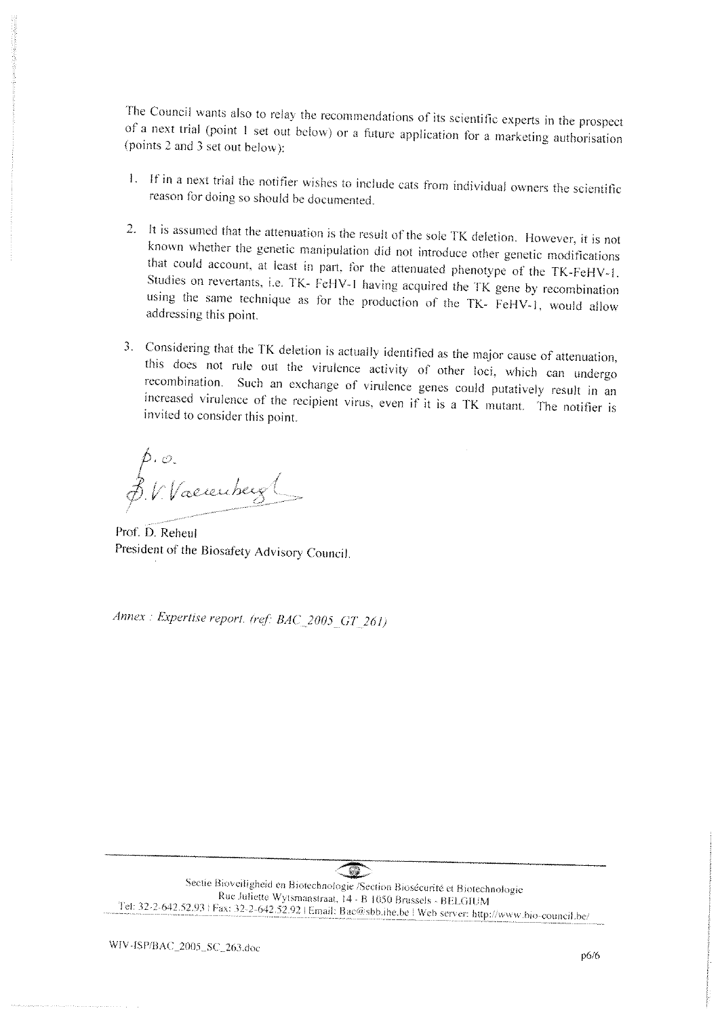The Council wants also to relay the recommendations of its scientific experts in the prospect of a next trial (point 1 set out below) or a future application for a marketing authorisation (points 2 and 3 set out below):

- 1. If in a next trial the notifier wishes to include cats from individual owners the scientific reason for doing so should be documented.
- 2. It is assumed that the attenuation is the result of the sole TK deletion. However, it is not known whether the genetic manipulation did not introduce other genetic modifications that could account, at least in part, for the attenuated phenotype of the TK-FeHV-1. Studies on revertants, i.e. TK- FeHV-1 having acquired the TK gene by recombination using the same technique as for the production of the TK- FeHV-1, would allow addressing this point.
- 3. Considering that the TK deletion is actually identified as the major cause of attenuation, this does not rule out the virulence activity of other loci, which can undergo recombination. Such an exchange of virulence genes could putatively result in an increased virulence of the recipient virus, even if it is a TK mutant. The notifier is invited to consider this point.

p.o.<br>p. V. Vaerenberg

Prof. D. Reheul President of the Biosafety Advisory Council.

Annex : Expertise report. (ref: BAC\_2005\_GT\_261)

 $\mathbb{Z}$ Sectie Bioveiligheid en Biotechnologie /Section Biosécurité et Biotechnologie Rue Juliette Wytsmanstraat, 14 - B 1050 Brussels - BELGIUM Tel: 32-2-642.52.93 | Fax: 32-2-642.52.92 | Email: Bac@sbb.ihe.be | Web server: http://www.bio-council.be/

WIV-ISP/BAC\_2005\_SC\_263.doc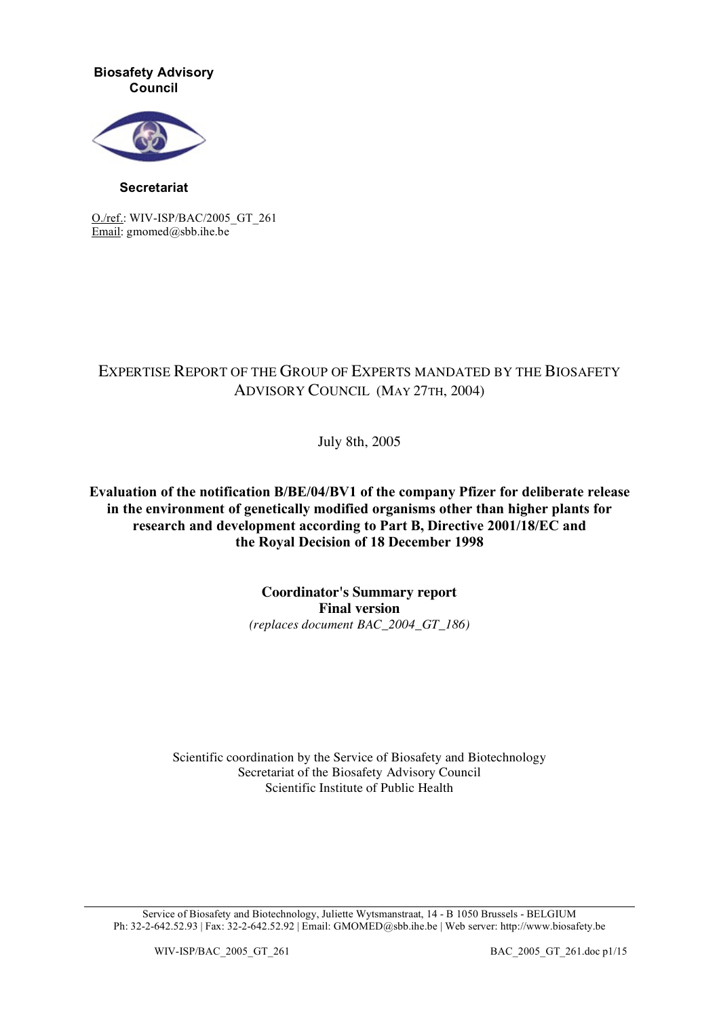**Biosafety Advisory Council**



**Secretariat**

O./ref.: WIV-ISP/BAC/2005\_GT\_261 Email: gmomed@sbb.ihe.be

# EXPERTISE REPORT OF THE GROUP OF EXPERTS MANDATED BY THE BIOSAFETY ADVISORY COUNCIL (MAY 27TH, 2004)

July 8th, 2005

**Evaluation of the notification B/BE/04/BV1 of the company Pfizer for deliberate release in the environment of genetically modified organisms other than higher plants for research and development according to Part B, Directive 2001/18/EC and the Royal Decision of 18 December 1998**

> **Coordinator's Summary report Final version** *(replaces document BAC\_2004\_GT\_186)*

Scientific coordination by the Service of Biosafety and Biotechnology Secretariat of the Biosafety Advisory Council Scientific Institute of Public Health

Service of Biosafety and Biotechnology, Juliette Wytsmanstraat, 14 - B 1050 Brussels - BELGIUM Ph: 32-2-642.52.93 | Fax: 32-2-642.52.92 | Email: GMOMED@sbb.ihe.be | Web server: http://www.biosafety.be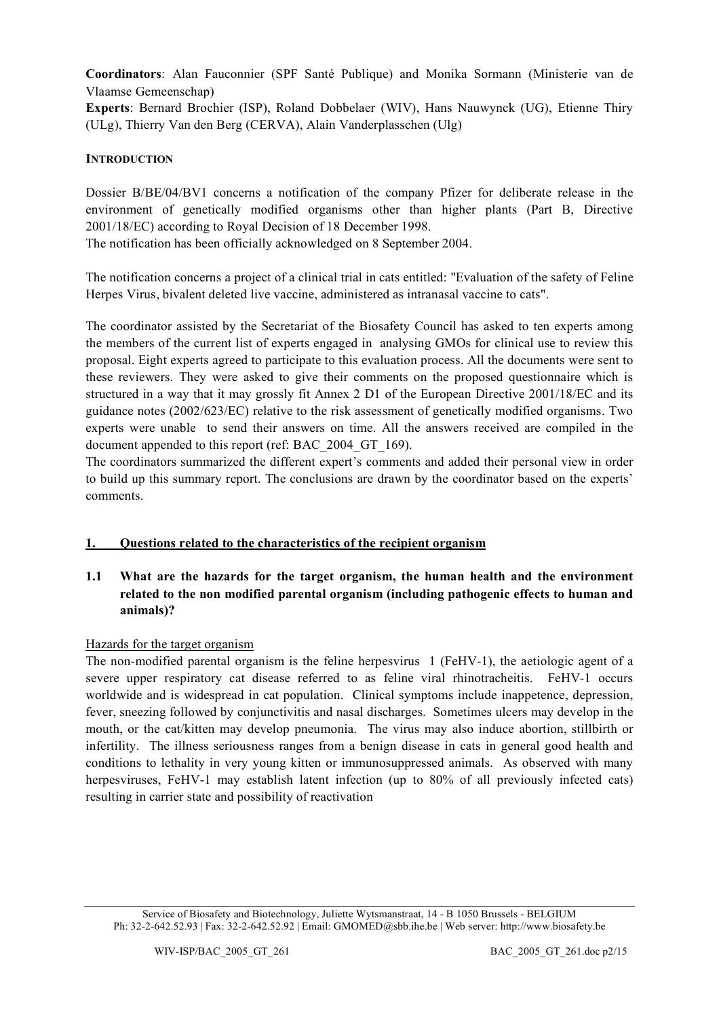**Coordinators**: Alan Fauconnier (SPF Santé Publique) and Monika Sormann (Ministerie van de Vlaamse Gemeenschap)

**Experts**: Bernard Brochier (ISP), Roland Dobbelaer (WIV), Hans Nauwynck (UG), Etienne Thiry (ULg), Thierry Van den Berg (CERVA), Alain Vanderplasschen (Ulg)

# **INTRODUCTION**

Dossier B/BE/04/BV1 concerns a notification of the company Pfizer for deliberate release in the environment of genetically modified organisms other than higher plants (Part B, Directive 2001/18/EC) according to Royal Decision of 18 December 1998.

The notification has been officially acknowledged on 8 September 2004.

The notification concerns a project of a clinical trial in cats entitled: "Evaluation of the safety of Feline Herpes Virus, bivalent deleted live vaccine, administered as intranasal vaccine to cats".

The coordinator assisted by the Secretariat of the Biosafety Council has asked to ten experts among the members of the current list of experts engaged in analysing GMOs for clinical use to review this proposal. Eight experts agreed to participate to this evaluation process. All the documents were sent to these reviewers. They were asked to give their comments on the proposed questionnaire which is structured in a way that it may grossly fit Annex 2 D1 of the European Directive 2001/18/EC and its guidance notes (2002/623/EC) relative to the risk assessment of genetically modified organisms. Two experts were unable to send their answers on time. All the answers received are compiled in the document appended to this report (ref: BAC\_2004\_GT\_169).

The coordinators summarized the different expert's comments and added their personal view in order to build up this summary report. The conclusions are drawn by the coordinator based on the experts' comments.

# **1. Questions related to the characteristics of the recipient organism**

# **1.1 What are the hazards for the target organism, the human health and the environment related to the non modified parental organism (including pathogenic effects to human and animals)?**

# Hazards for the target organism

The non-modified parental organism is the feline herpesvirus 1 (FeHV-1), the aetiologic agent of a severe upper respiratory cat disease referred to as feline viral rhinotracheitis. FeHV-1 occurs worldwide and is widespread in cat population. Clinical symptoms include inappetence, depression, fever, sneezing followed by conjunctivitis and nasal discharges. Sometimes ulcers may develop in the mouth, or the cat/kitten may develop pneumonia. The virus may also induce abortion, stillbirth or infertility. The illness seriousness ranges from a benign disease in cats in general good health and conditions to lethality in very young kitten or immunosuppressed animals. As observed with many herpesviruses, FeHV-1 may establish latent infection (up to 80% of all previously infected cats) resulting in carrier state and possibility of reactivation

Service of Biosafety and Biotechnology, Juliette Wytsmanstraat, 14 - B 1050 Brussels - BELGIUM Ph: 32-2-642.52.93 | Fax: 32-2-642.52.92 | Email: GMOMED@sbb.ihe.be | Web server: http://www.biosafety.be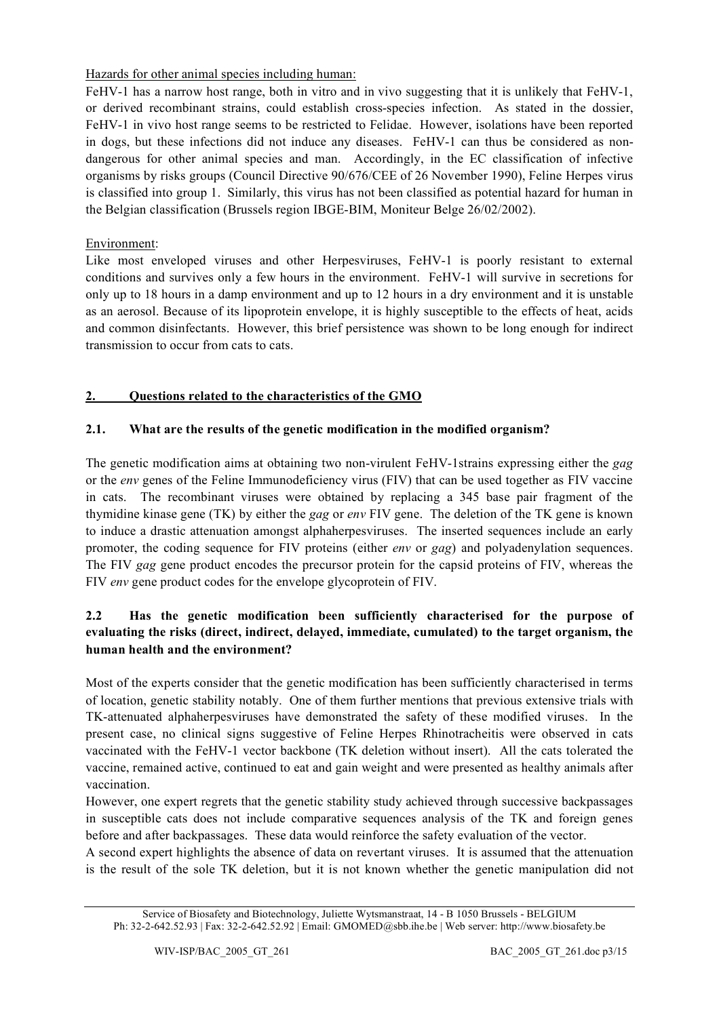Hazards for other animal species including human:

FeHV-1 has a narrow host range, both in vitro and in vivo suggesting that it is unlikely that FeHV-1, or derived recombinant strains, could establish cross-species infection. As stated in the dossier, FeHV-1 in vivo host range seems to be restricted to Felidae. However, isolations have been reported in dogs, but these infections did not induce any diseases. FeHV-1 can thus be considered as nondangerous for other animal species and man. Accordingly, in the EC classification of infective organisms by risks groups (Council Directive 90/676/CEE of 26 November 1990), Feline Herpes virus is classified into group 1. Similarly, this virus has not been classified as potential hazard for human in the Belgian classification (Brussels region IBGE-BIM, Moniteur Belge 26/02/2002).

# Environment:

Like most enveloped viruses and other Herpesviruses, FeHV-1 is poorly resistant to external conditions and survives only a few hours in the environment. FeHV-1 will survive in secretions for only up to 18 hours in a damp environment and up to 12 hours in a dry environment and it is unstable as an aerosol. Because of its lipoprotein envelope, it is highly susceptible to the effects of heat, acids and common disinfectants. However, this brief persistence was shown to be long enough for indirect transmission to occur from cats to cats.

# **2. Questions related to the characteristics of the GMO**

# **2.1. What are the results of the genetic modification in the modified organism?**

The genetic modification aims at obtaining two non-virulent FeHV-1strains expressing either the *gag* or the *env* genes of the Feline Immunodeficiency virus (FIV) that can be used together as FIV vaccine in cats. The recombinant viruses were obtained by replacing a 345 base pair fragment of the thymidine kinase gene (TK) by either the *gag* or *env* FIV gene. The deletion of the TK gene is known to induce a drastic attenuation amongst alphaherpesviruses. The inserted sequences include an early promoter, the coding sequence for FIV proteins (either *env* or *gag*) and polyadenylation sequences. The FIV *gag* gene product encodes the precursor protein for the capsid proteins of FIV, whereas the FIV *env* gene product codes for the envelope glycoprotein of FIV.

# **2.2 Has the genetic modification been sufficiently characterised for the purpose of evaluating the risks (direct, indirect, delayed, immediate, cumulated) to the target organism, the human health and the environment?**

Most of the experts consider that the genetic modification has been sufficiently characterised in terms of location, genetic stability notably. One of them further mentions that previous extensive trials with TK-attenuated alphaherpesviruses have demonstrated the safety of these modified viruses. In the present case, no clinical signs suggestive of Feline Herpes Rhinotracheitis were observed in cats vaccinated with the FeHV-1 vector backbone (TK deletion without insert). All the cats tolerated the vaccine, remained active, continued to eat and gain weight and were presented as healthy animals after vaccination.

However, one expert regrets that the genetic stability study achieved through successive backpassages in susceptible cats does not include comparative sequences analysis of the TK and foreign genes before and after backpassages. These data would reinforce the safety evaluation of the vector.

A second expert highlights the absence of data on revertant viruses. It is assumed that the attenuation is the result of the sole TK deletion, but it is not known whether the genetic manipulation did not

Service of Biosafety and Biotechnology, Juliette Wytsmanstraat, 14 - B 1050 Brussels - BELGIUM Ph: 32-2-642.52.93 | Fax: 32-2-642.52.92 | Email: GMOMED@sbb.ihe.be | Web server: http://www.biosafety.be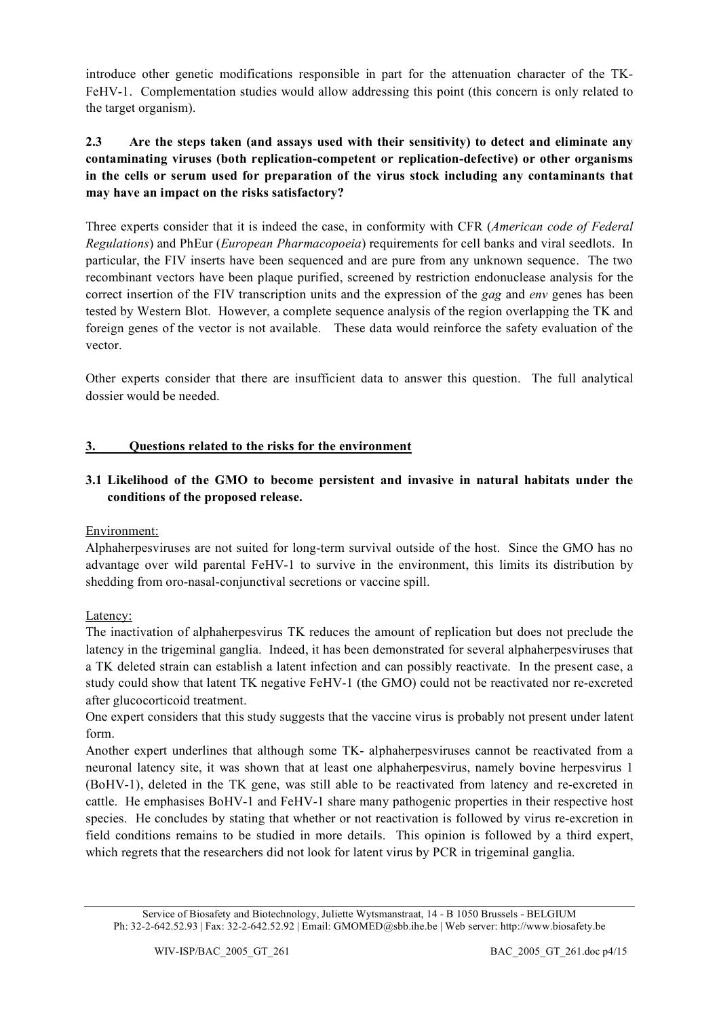introduce other genetic modifications responsible in part for the attenuation character of the TK-FeHV-1. Complementation studies would allow addressing this point (this concern is only related to the target organism).

# **2.3 Are the steps taken (and assays used with their sensitivity) to detect and eliminate any contaminating viruses (both replication-competent or replication-defective) or other organisms in the cells or serum used for preparation of the virus stock including any contaminants that may have an impact on the risks satisfactory?**

Three experts consider that it is indeed the case, in conformity with CFR (*American code of Federal Regulations*) and PhEur (*European Pharmacopoeia*) requirements for cell banks and viral seedlots. In particular, the FIV inserts have been sequenced and are pure from any unknown sequence. The two recombinant vectors have been plaque purified, screened by restriction endonuclease analysis for the correct insertion of the FIV transcription units and the expression of the *gag* and *env* genes has been tested by Western Blot. However, a complete sequence analysis of the region overlapping the TK and foreign genes of the vector is not available. These data would reinforce the safety evaluation of the vector.

Other experts consider that there are insufficient data to answer this question. The full analytical dossier would be needed.

# **3. Questions related to the risks for the environment**

# **3.1 Likelihood of the GMO to become persistent and invasive in natural habitats under the conditions of the proposed release.**

# Environment:

Alphaherpesviruses are not suited for long-term survival outside of the host. Since the GMO has no advantage over wild parental FeHV-1 to survive in the environment, this limits its distribution by shedding from oro-nasal-conjunctival secretions or vaccine spill.

# Latency:

The inactivation of alphaherpesvirus TK reduces the amount of replication but does not preclude the latency in the trigeminal ganglia. Indeed, it has been demonstrated for several alphaherpesviruses that a TK deleted strain can establish a latent infection and can possibly reactivate. In the present case, a study could show that latent TK negative FeHV-1 (the GMO) could not be reactivated nor re-excreted after glucocorticoid treatment.

One expert considers that this study suggests that the vaccine virus is probably not present under latent form.

Another expert underlines that although some TK- alphaherpesviruses cannot be reactivated from a neuronal latency site, it was shown that at least one alphaherpesvirus, namely bovine herpesvirus 1 (BoHV-1), deleted in the TK gene, was still able to be reactivated from latency and re-excreted in cattle. He emphasises BoHV-1 and FeHV-1 share many pathogenic properties in their respective host species. He concludes by stating that whether or not reactivation is followed by virus re-excretion in field conditions remains to be studied in more details. This opinion is followed by a third expert, which regrets that the researchers did not look for latent virus by PCR in trigeminal ganglia.

Service of Biosafety and Biotechnology, Juliette Wytsmanstraat, 14 - B 1050 Brussels - BELGIUM Ph: 32-2-642.52.93 | Fax: 32-2-642.52.92 | Email: GMOMED@sbb.ihe.be | Web server: http://www.biosafety.be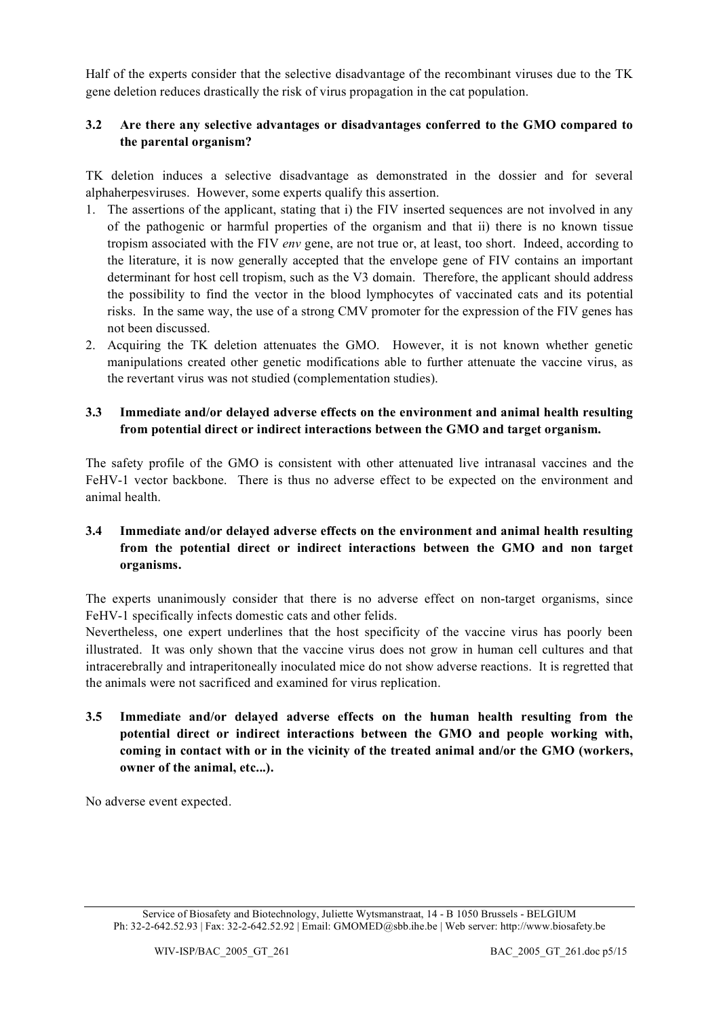Half of the experts consider that the selective disadvantage of the recombinant viruses due to the TK gene deletion reduces drastically the risk of virus propagation in the cat population.

# **3.2 Are there any selective advantages or disadvantages conferred to the GMO compared to the parental organism?**

TK deletion induces a selective disadvantage as demonstrated in the dossier and for several alphaherpesviruses. However, some experts qualify this assertion.

- 1. The assertions of the applicant, stating that i) the FIV inserted sequences are not involved in any of the pathogenic or harmful properties of the organism and that ii) there is no known tissue tropism associated with the FIV *env* gene, are not true or, at least, too short. Indeed, according to the literature, it is now generally accepted that the envelope gene of FIV contains an important determinant for host cell tropism, such as the V3 domain. Therefore, the applicant should address the possibility to find the vector in the blood lymphocytes of vaccinated cats and its potential risks. In the same way, the use of a strong CMV promoter for the expression of the FIV genes has not been discussed.
- 2. Acquiring the TK deletion attenuates the GMO. However, it is not known whether genetic manipulations created other genetic modifications able to further attenuate the vaccine virus, as the revertant virus was not studied (complementation studies).

# **3.3 Immediate and/or delayed adverse effects on the environment and animal health resulting from potential direct or indirect interactions between the GMO and target organism.**

The safety profile of the GMO is consistent with other attenuated live intranasal vaccines and the FeHV-1 vector backbone. There is thus no adverse effect to be expected on the environment and animal health.

# **3.4 Immediate and/or delayed adverse effects on the environment and animal health resulting from the potential direct or indirect interactions between the GMO and non target organisms.**

The experts unanimously consider that there is no adverse effect on non-target organisms, since FeHV-1 specifically infects domestic cats and other felids.

Nevertheless, one expert underlines that the host specificity of the vaccine virus has poorly been illustrated. It was only shown that the vaccine virus does not grow in human cell cultures and that intracerebrally and intraperitoneally inoculated mice do not show adverse reactions. It is regretted that the animals were not sacrificed and examined for virus replication.

**3.5 Immediate and/or delayed adverse effects on the human health resulting from the potential direct or indirect interactions between the GMO and people working with, coming in contact with or in the vicinity of the treated animal and/or the GMO (workers, owner of the animal, etc...).**

No adverse event expected.

Service of Biosafety and Biotechnology, Juliette Wytsmanstraat, 14 - B 1050 Brussels - BELGIUM Ph: 32-2-642.52.93 | Fax: 32-2-642.52.92 | Email: GMOMED@sbb.ihe.be | Web server: http://www.biosafety.be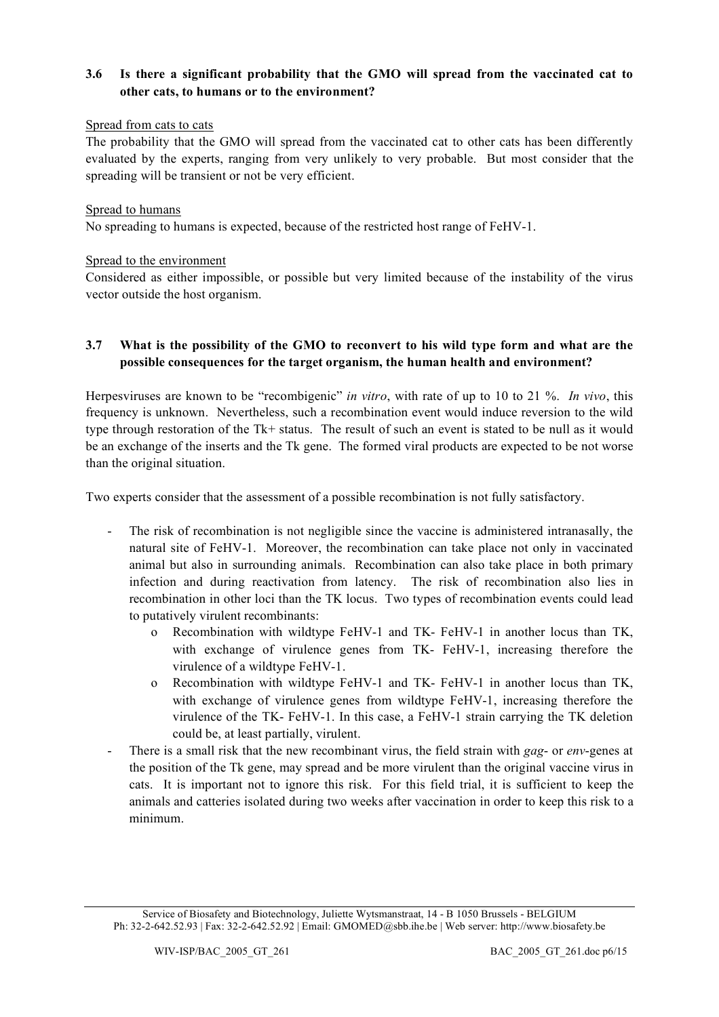# **3.6 Is there a significant probability that the GMO will spread from the vaccinated cat to other cats, to humans or to the environment?**

# Spread from cats to cats

The probability that the GMO will spread from the vaccinated cat to other cats has been differently evaluated by the experts, ranging from very unlikely to very probable. But most consider that the spreading will be transient or not be very efficient.

#### Spread to humans

No spreading to humans is expected, because of the restricted host range of FeHV-1.

#### Spread to the environment

Considered as either impossible, or possible but very limited because of the instability of the virus vector outside the host organism.

### **3.7 What is the possibility of the GMO to reconvert to his wild type form and what are the possible consequences for the target organism, the human health and environment?**

Herpesviruses are known to be "recombigenic" *in vitro*, with rate of up to 10 to 21 %. *In vivo*, this frequency is unknown. Nevertheless, such a recombination event would induce reversion to the wild type through restoration of the Tk+ status. The result of such an event is stated to be null as it would be an exchange of the inserts and the Tk gene. The formed viral products are expected to be not worse than the original situation.

Two experts consider that the assessment of a possible recombination is not fully satisfactory.

- The risk of recombination is not negligible since the vaccine is administered intranasally, the natural site of FeHV-1. Moreover, the recombination can take place not only in vaccinated animal but also in surrounding animals. Recombination can also take place in both primary infection and during reactivation from latency. The risk of recombination also lies in recombination in other loci than the TK locus. Two types of recombination events could lead to putatively virulent recombinants:
	- o Recombination with wildtype FeHV-1 and TK- FeHV-1 in another locus than TK, with exchange of virulence genes from TK- FeHV-1, increasing therefore the virulence of a wildtype FeHV-1.
	- o Recombination with wildtype FeHV-1 and TK- FeHV-1 in another locus than TK, with exchange of virulence genes from wildtype FeHV-1, increasing therefore the virulence of the TK- FeHV-1. In this case, a FeHV-1 strain carrying the TK deletion could be, at least partially, virulent.
- There is a small risk that the new recombinant virus, the field strain with *gag* or *env*-genes at the position of the Tk gene, may spread and be more virulent than the original vaccine virus in cats. It is important not to ignore this risk. For this field trial, it is sufficient to keep the animals and catteries isolated during two weeks after vaccination in order to keep this risk to a minimum.

Service of Biosafety and Biotechnology, Juliette Wytsmanstraat, 14 - B 1050 Brussels - BELGIUM Ph: 32-2-642.52.93 | Fax: 32-2-642.52.92 | Email: GMOMED@sbb.ihe.be | Web server: http://www.biosafety.be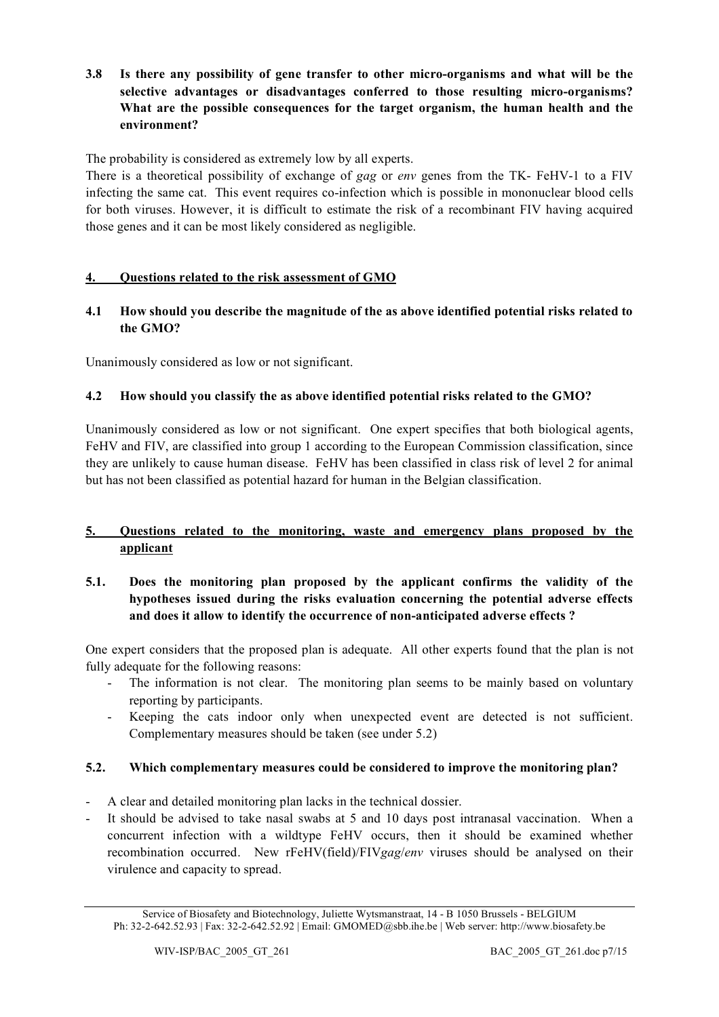**3.8 Is there any possibility of gene transfer to other micro-organisms and what will be the selective advantages or disadvantages conferred to those resulting micro-organisms? What are the possible consequences for the target organism, the human health and the environment?**

The probability is considered as extremely low by all experts.

There is a theoretical possibility of exchange of *gag* or *env* genes from the TK- FeHV-1 to a FIV infecting the same cat. This event requires co-infection which is possible in mononuclear blood cells for both viruses. However, it is difficult to estimate the risk of a recombinant FIV having acquired those genes and it can be most likely considered as negligible.

# **4. Questions related to the risk assessment of GMO**

# **4.1 How should you describe the magnitude of the as above identified potential risks related to the GMO?**

Unanimously considered as low or not significant.

# **4.2 How should you classify the as above identified potential risks related to the GMO?**

Unanimously considered as low or not significant. One expert specifies that both biological agents, FeHV and FIV, are classified into group 1 according to the European Commission classification, since they are unlikely to cause human disease. FeHV has been classified in class risk of level 2 for animal but has not been classified as potential hazard for human in the Belgian classification.

# **5. Questions related to the monitoring, waste and emergency plans proposed by the applicant**

# **5.1. Does the monitoring plan proposed by the applicant confirms the validity of the hypotheses issued during the risks evaluation concerning the potential adverse effects and does it allow to identify the occurrence of non-anticipated adverse effects ?**

One expert considers that the proposed plan is adequate. All other experts found that the plan is not fully adequate for the following reasons:

- The information is not clear. The monitoring plan seems to be mainly based on voluntary reporting by participants.
- Keeping the cats indoor only when unexpected event are detected is not sufficient. Complementary measures should be taken (see under 5.2)

# **5.2. Which complementary measures could be considered to improve the monitoring plan?**

- A clear and detailed monitoring plan lacks in the technical dossier.
- It should be advised to take nasal swabs at 5 and 10 days post intranasal vaccination. When a concurrent infection with a wildtype FeHV occurs, then it should be examined whether recombination occurred. New rFeHV(field)/FIV*gag*/*env* viruses should be analysed on their virulence and capacity to spread.

Service of Biosafety and Biotechnology, Juliette Wytsmanstraat, 14 - B 1050 Brussels - BELGIUM Ph: 32-2-642.52.93 | Fax: 32-2-642.52.92 | Email: GMOMED@sbb.ihe.be | Web server: http://www.biosafety.be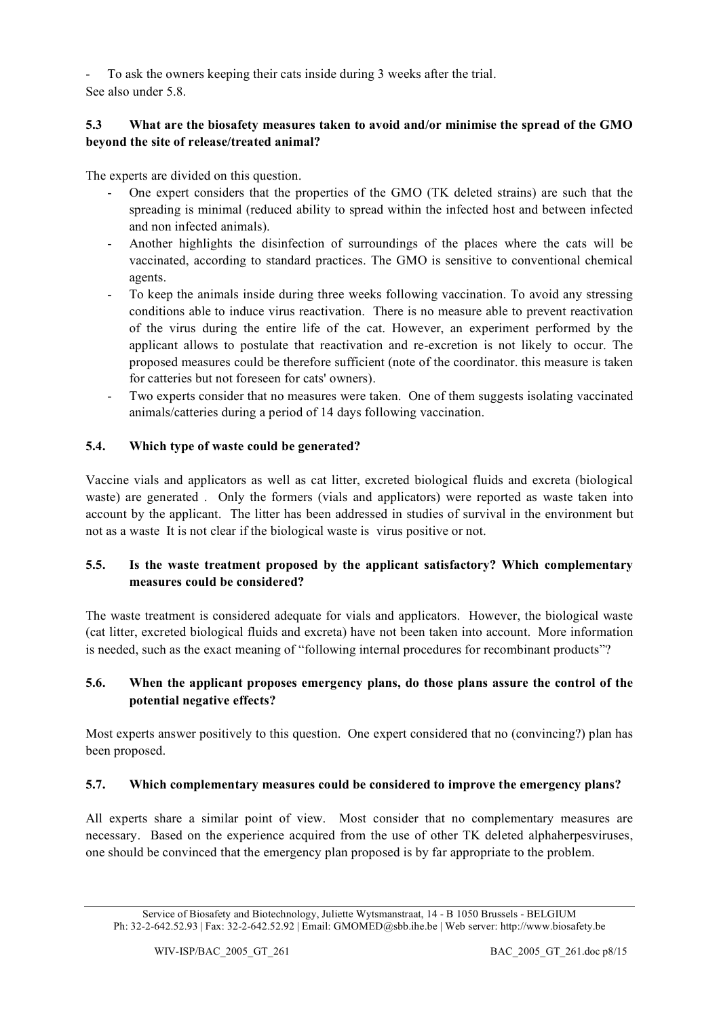- To ask the owners keeping their cats inside during 3 weeks after the trial.

# See also under 5.8.

# **5.3 What are the biosafety measures taken to avoid and/or minimise the spread of the GMO beyond the site of release/treated animal?**

The experts are divided on this question.

- One expert considers that the properties of the GMO (TK deleted strains) are such that the spreading is minimal (reduced ability to spread within the infected host and between infected and non infected animals).
- Another highlights the disinfection of surroundings of the places where the cats will be vaccinated, according to standard practices. The GMO is sensitive to conventional chemical agents.
- To keep the animals inside during three weeks following vaccination. To avoid any stressing conditions able to induce virus reactivation. There is no measure able to prevent reactivation of the virus during the entire life of the cat. However, an experiment performed by the applicant allows to postulate that reactivation and re-excretion is not likely to occur. The proposed measures could be therefore sufficient (note of the coordinator. this measure is taken for catteries but not foreseen for cats' owners).
- Two experts consider that no measures were taken. One of them suggests isolating vaccinated animals/catteries during a period of 14 days following vaccination.

# **5.4. Which type of waste could be generated?**

Vaccine vials and applicators as well as cat litter, excreted biological fluids and excreta (biological waste) are generated . Only the formers (vials and applicators) were reported as waste taken into account by the applicant. The litter has been addressed in studies of survival in the environment but not as a waste It is not clear if the biological waste is virus positive or not.

# **5.5. Is the waste treatment proposed by the applicant satisfactory? Which complementary measures could be considered?**

The waste treatment is considered adequate for vials and applicators. However, the biological waste (cat litter, excreted biological fluids and excreta) have not been taken into account. More information is needed, such as the exact meaning of "following internal procedures for recombinant products"?

# **5.6. When the applicant proposes emergency plans, do those plans assure the control of the potential negative effects?**

Most experts answer positively to this question. One expert considered that no (convincing?) plan has been proposed.

# **5.7. Which complementary measures could be considered to improve the emergency plans?**

All experts share a similar point of view. Most consider that no complementary measures are necessary. Based on the experience acquired from the use of other TK deleted alphaherpesviruses, one should be convinced that the emergency plan proposed is by far appropriate to the problem.

Service of Biosafety and Biotechnology, Juliette Wytsmanstraat, 14 - B 1050 Brussels - BELGIUM Ph: 32-2-642.52.93 | Fax: 32-2-642.52.92 | Email: GMOMED@sbb.ihe.be | Web server: http://www.biosafety.be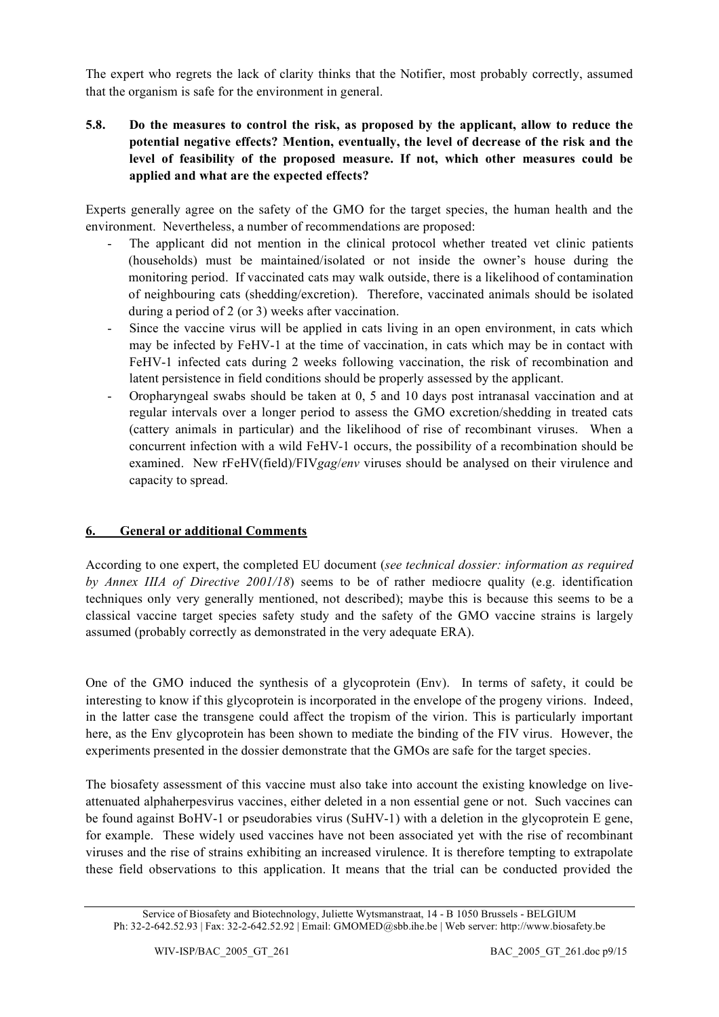The expert who regrets the lack of clarity thinks that the Notifier, most probably correctly, assumed that the organism is safe for the environment in general.

# **5.8. Do the measures to control the risk, as proposed by the applicant, allow to reduce the potential negative effects? Mention, eventually, the level of decrease of the risk and the level of feasibility of the proposed measure. If not, which other measures could be applied and what are the expected effects?**

Experts generally agree on the safety of the GMO for the target species, the human health and the environment. Nevertheless, a number of recommendations are proposed:

- The applicant did not mention in the clinical protocol whether treated vet clinic patients (households) must be maintained/isolated or not inside the owner's house during the monitoring period. If vaccinated cats may walk outside, there is a likelihood of contamination of neighbouring cats (shedding/excretion). Therefore, vaccinated animals should be isolated during a period of 2 (or 3) weeks after vaccination.
- Since the vaccine virus will be applied in cats living in an open environment, in cats which may be infected by FeHV-1 at the time of vaccination, in cats which may be in contact with FeHV-1 infected cats during 2 weeks following vaccination, the risk of recombination and latent persistence in field conditions should be properly assessed by the applicant.
- Oropharyngeal swabs should be taken at 0, 5 and 10 days post intranasal vaccination and at regular intervals over a longer period to assess the GMO excretion/shedding in treated cats (cattery animals in particular) and the likelihood of rise of recombinant viruses. When a concurrent infection with a wild FeHV-1 occurs, the possibility of a recombination should be examined. New rFeHV(field)/FIV*gag*/*env* viruses should be analysed on their virulence and capacity to spread.

# **6. General or additional Comments**

According to one expert, the completed EU document (*see technical dossier: information as required by Annex IIIA of Directive 2001/18*) seems to be of rather mediocre quality (e.g. identification techniques only very generally mentioned, not described); maybe this is because this seems to be a classical vaccine target species safety study and the safety of the GMO vaccine strains is largely assumed (probably correctly as demonstrated in the very adequate ERA).

One of the GMO induced the synthesis of a glycoprotein (Env). In terms of safety, it could be interesting to know if this glycoprotein is incorporated in the envelope of the progeny virions. Indeed, in the latter case the transgene could affect the tropism of the virion. This is particularly important here, as the Env glycoprotein has been shown to mediate the binding of the FIV virus. However, the experiments presented in the dossier demonstrate that the GMOs are safe for the target species.

The biosafety assessment of this vaccine must also take into account the existing knowledge on liveattenuated alphaherpesvirus vaccines, either deleted in a non essential gene or not. Such vaccines can be found against BoHV-1 or pseudorabies virus (SuHV-1) with a deletion in the glycoprotein E gene, for example. These widely used vaccines have not been associated yet with the rise of recombinant viruses and the rise of strains exhibiting an increased virulence. It is therefore tempting to extrapolate these field observations to this application. It means that the trial can be conducted provided the

Service of Biosafety and Biotechnology, Juliette Wytsmanstraat, 14 - B 1050 Brussels - BELGIUM Ph: 32-2-642.52.93 | Fax: 32-2-642.52.92 | Email: GMOMED@sbb.ihe.be | Web server: http://www.biosafety.be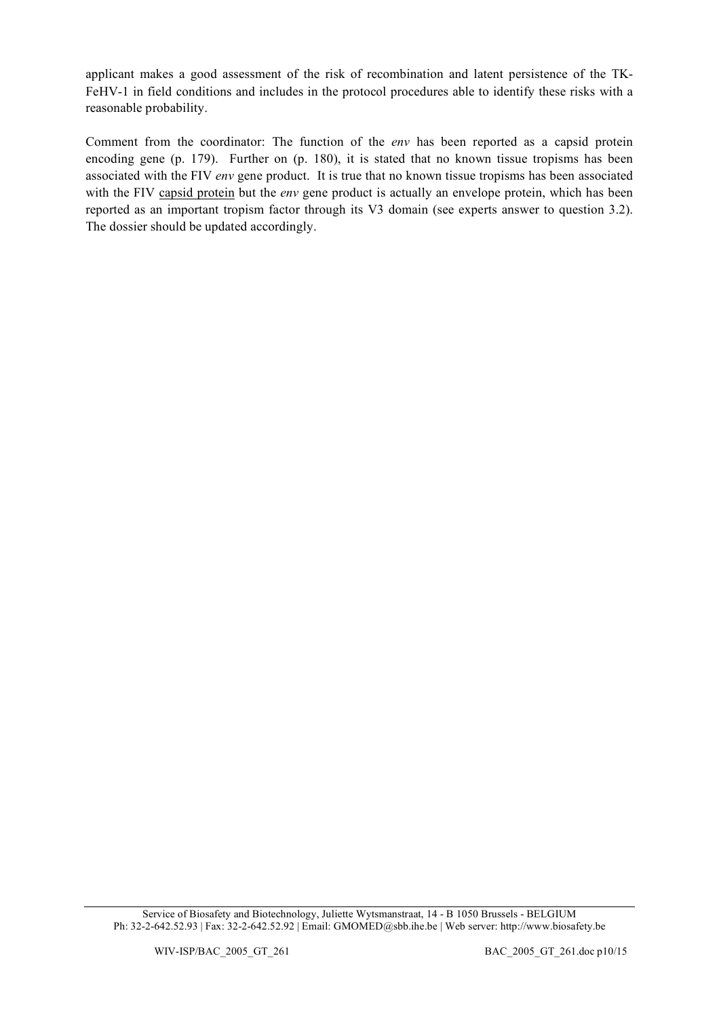applicant makes a good assessment of the risk of recombination and latent persistence of the TK-FeHV-1 in field conditions and includes in the protocol procedures able to identify these risks with a reasonable probability.

Comment from the coordinator: The function of the *env* has been reported as a capsid protein encoding gene (p. 179). Further on (p. 180), it is stated that no known tissue tropisms has been associated with the FIV *env* gene product. It is true that no known tissue tropisms has been associated with the FIV capsid protein but the *env* gene product is actually an envelope protein, which has been reported as an important tropism factor through its V3 domain (see experts answer to question 3.2). The dossier should be updated accordingly.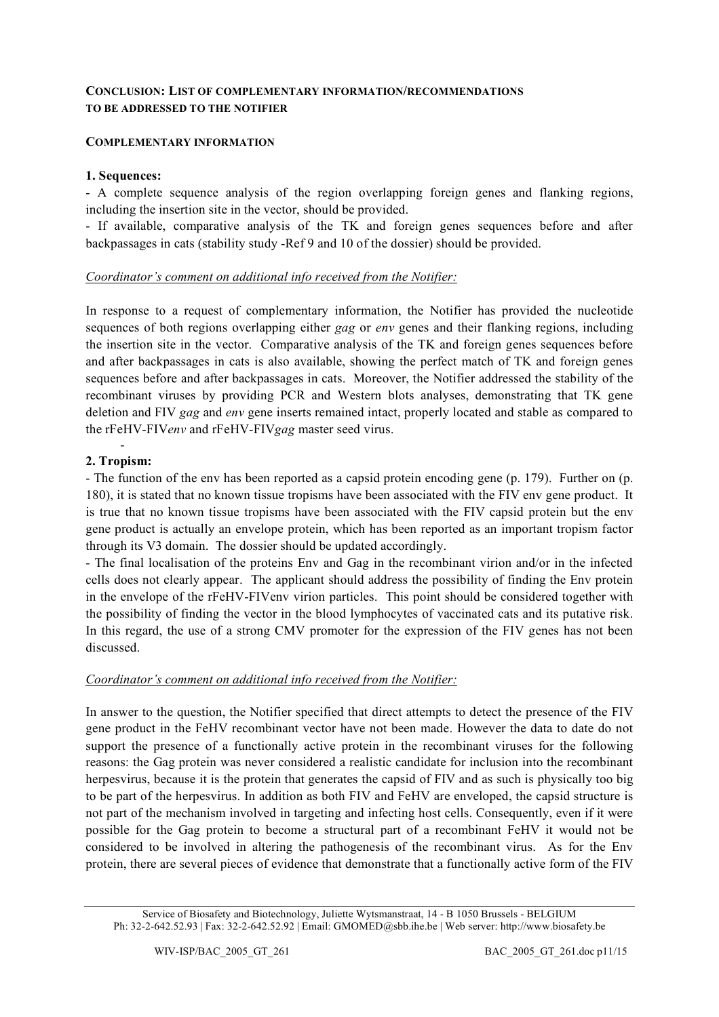# **CONCLUSION: LIST OF COMPLEMENTARY INFORMATION/RECOMMENDATIONS TO BE ADDRESSED TO THE NOTIFIER**

### **COMPLEMENTARY INFORMATION**

#### **1. Sequences:**

- A complete sequence analysis of the region overlapping foreign genes and flanking regions, including the insertion site in the vector, should be provided.

- If available, comparative analysis of the TK and foreign genes sequences before and after backpassages in cats (stability study -Ref 9 and 10 of the dossier) should be provided.

### *Coordinator's comment on additional info received from the Notifier:*

In response to a request of complementary information, the Notifier has provided the nucleotide sequences of both regions overlapping either *gag* or *env* genes and their flanking regions, including the insertion site in the vector. Comparative analysis of the TK and foreign genes sequences before and after backpassages in cats is also available, showing the perfect match of TK and foreign genes sequences before and after backpassages in cats. Moreover, the Notifier addressed the stability of the recombinant viruses by providing PCR and Western blots analyses, demonstrating that TK gene deletion and FIV *gag* and *env* gene inserts remained intact, properly located and stable as compared to the rFeHV-FIV*env* and rFeHV-FIV*gag* master seed virus.

#### - **2. Tropism:**

- The function of the env has been reported as a capsid protein encoding gene (p. 179). Further on (p. 180), it is stated that no known tissue tropisms have been associated with the FIV env gene product. It is true that no known tissue tropisms have been associated with the FIV capsid protein but the env gene product is actually an envelope protein, which has been reported as an important tropism factor through its V3 domain. The dossier should be updated accordingly.

- The final localisation of the proteins Env and Gag in the recombinant virion and/or in the infected cells does not clearly appear. The applicant should address the possibility of finding the Env protein in the envelope of the rFeHV-FIVenv virion particles. This point should be considered together with the possibility of finding the vector in the blood lymphocytes of vaccinated cats and its putative risk. In this regard, the use of a strong CMV promoter for the expression of the FIV genes has not been discussed.

#### *Coordinator's comment on additional info received from the Notifier:*

In answer to the question, the Notifier specified that direct attempts to detect the presence of the FIV gene product in the FeHV recombinant vector have not been made. However the data to date do not support the presence of a functionally active protein in the recombinant viruses for the following reasons: the Gag protein was never considered a realistic candidate for inclusion into the recombinant herpesvirus, because it is the protein that generates the capsid of FIV and as such is physically too big to be part of the herpesvirus. In addition as both FIV and FeHV are enveloped, the capsid structure is not part of the mechanism involved in targeting and infecting host cells. Consequently, even if it were possible for the Gag protein to become a structural part of a recombinant FeHV it would not be considered to be involved in altering the pathogenesis of the recombinant virus. As for the Env protein, there are several pieces of evidence that demonstrate that a functionally active form of the FIV

Service of Biosafety and Biotechnology, Juliette Wytsmanstraat, 14 - B 1050 Brussels - BELGIUM Ph: 32-2-642.52.93 | Fax: 32-2-642.52.92 | Email: GMOMED@sbb.ihe.be | Web server: http://www.biosafety.be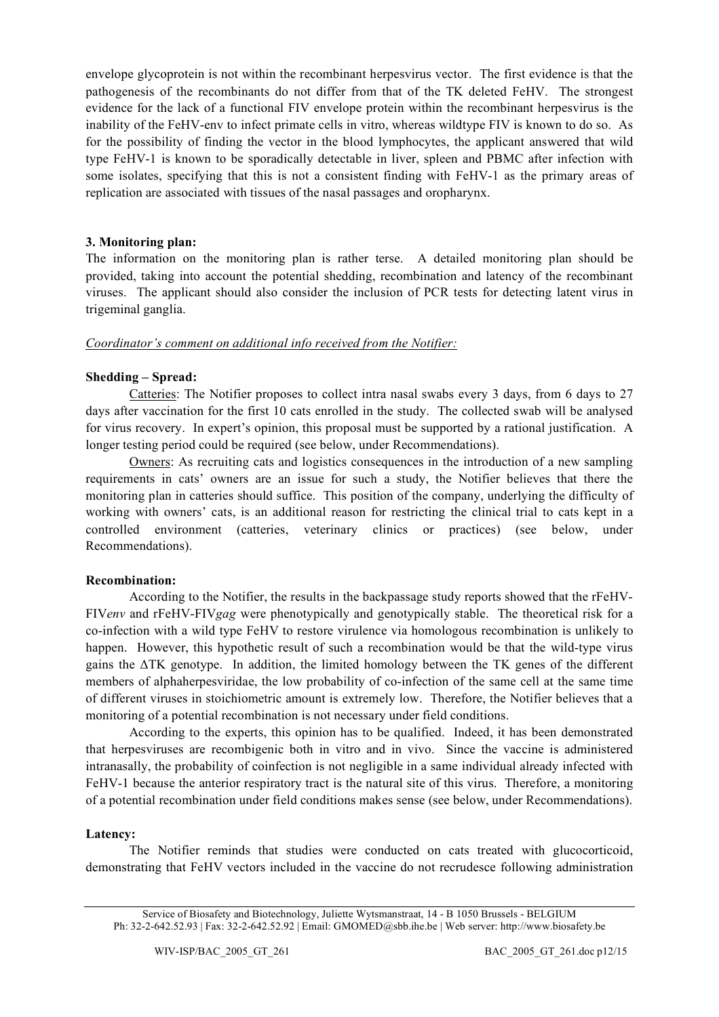envelope glycoprotein is not within the recombinant herpesvirus vector. The first evidence is that the pathogenesis of the recombinants do not differ from that of the TK deleted FeHV. The strongest evidence for the lack of a functional FIV envelope protein within the recombinant herpesvirus is the inability of the FeHV-env to infect primate cells in vitro, whereas wildtype FIV is known to do so. As for the possibility of finding the vector in the blood lymphocytes, the applicant answered that wild type FeHV-1 is known to be sporadically detectable in liver, spleen and PBMC after infection with some isolates, specifying that this is not a consistent finding with FeHV-1 as the primary areas of replication are associated with tissues of the nasal passages and oropharynx.

#### **3. Monitoring plan:**

The information on the monitoring plan is rather terse. A detailed monitoring plan should be provided, taking into account the potential shedding, recombination and latency of the recombinant viruses. The applicant should also consider the inclusion of PCR tests for detecting latent virus in trigeminal ganglia.

### *Coordinator's comment on additional info received from the Notifier:*

# **Shedding – Spread:**

Catteries: The Notifier proposes to collect intra nasal swabs every 3 days, from 6 days to 27 days after vaccination for the first 10 cats enrolled in the study. The collected swab will be analysed for virus recovery. In expert's opinion, this proposal must be supported by a rational justification. A longer testing period could be required (see below, under Recommendations).

Owners: As recruiting cats and logistics consequences in the introduction of a new sampling requirements in cats' owners are an issue for such a study, the Notifier believes that there the monitoring plan in catteries should suffice. This position of the company, underlying the difficulty of working with owners' cats, is an additional reason for restricting the clinical trial to cats kept in a controlled environment (catteries, veterinary clinics or practices) (see below, under Recommendations).

#### **Recombination:**

According to the Notifier, the results in the backpassage study reports showed that the rFeHV-FIV*env* and rFeHV-FIV*gag* were phenotypically and genotypically stable. The theoretical risk for a co-infection with a wild type FeHV to restore virulence via homologous recombination is unlikely to happen. However, this hypothetic result of such a recombination would be that the wild-type virus gains the ΔTK genotype. In addition, the limited homology between the TK genes of the different members of alphaherpesviridae, the low probability of co-infection of the same cell at the same time of different viruses in stoichiometric amount is extremely low. Therefore, the Notifier believes that a monitoring of a potential recombination is not necessary under field conditions.

According to the experts, this opinion has to be qualified. Indeed, it has been demonstrated that herpesviruses are recombigenic both in vitro and in vivo. Since the vaccine is administered intranasally, the probability of coinfection is not negligible in a same individual already infected with FeHV-1 because the anterior respiratory tract is the natural site of this virus. Therefore, a monitoring of a potential recombination under field conditions makes sense (see below, under Recommendations).

#### **Latency:**

The Notifier reminds that studies were conducted on cats treated with glucocorticoid, demonstrating that FeHV vectors included in the vaccine do not recrudesce following administration

Service of Biosafety and Biotechnology, Juliette Wytsmanstraat, 14 - B 1050 Brussels - BELGIUM Ph: 32-2-642.52.93 | Fax: 32-2-642.52.92 | Email: GMOMED@sbb.ihe.be | Web server: http://www.biosafety.be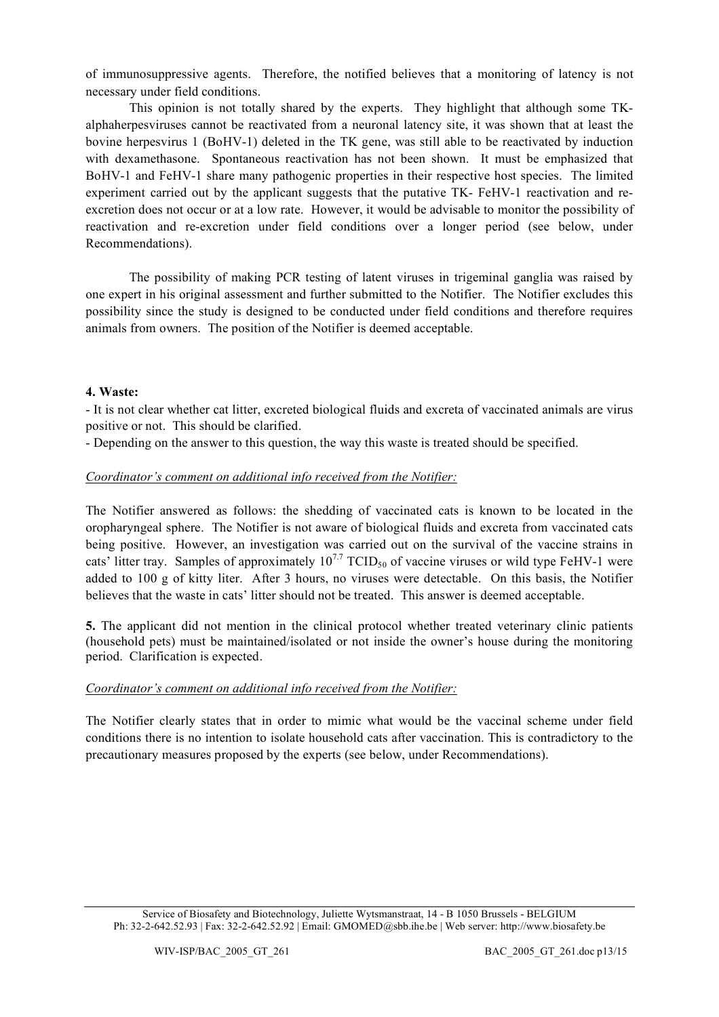of immunosuppressive agents. Therefore, the notified believes that a monitoring of latency is not necessary under field conditions.

This opinion is not totally shared by the experts. They highlight that although some TKalphaherpesviruses cannot be reactivated from a neuronal latency site, it was shown that at least the bovine herpesvirus 1 (BoHV-1) deleted in the TK gene, was still able to be reactivated by induction with dexamethasone. Spontaneous reactivation has not been shown. It must be emphasized that BoHV-1 and FeHV-1 share many pathogenic properties in their respective host species. The limited experiment carried out by the applicant suggests that the putative TK- FeHV-1 reactivation and reexcretion does not occur or at a low rate. However, it would be advisable to monitor the possibility of reactivation and re-excretion under field conditions over a longer period (see below, under Recommendations).

The possibility of making PCR testing of latent viruses in trigeminal ganglia was raised by one expert in his original assessment and further submitted to the Notifier. The Notifier excludes this possibility since the study is designed to be conducted under field conditions and therefore requires animals from owners. The position of the Notifier is deemed acceptable.

#### **4. Waste:**

- It is not clear whether cat litter, excreted biological fluids and excreta of vaccinated animals are virus positive or not. This should be clarified.

- Depending on the answer to this question, the way this waste is treated should be specified.

### *Coordinator's comment on additional info received from the Notifier:*

The Notifier answered as follows: the shedding of vaccinated cats is known to be located in the oropharyngeal sphere. The Notifier is not aware of biological fluids and excreta from vaccinated cats being positive. However, an investigation was carried out on the survival of the vaccine strains in cats' litter tray. Samples of approximately  $10^{7.7}$  TCID<sub>50</sub> of vaccine viruses or wild type FeHV-1 were added to 100 g of kitty liter. After 3 hours, no viruses were detectable. On this basis, the Notifier believes that the waste in cats' litter should not be treated. This answer is deemed acceptable.

**5.** The applicant did not mention in the clinical protocol whether treated veterinary clinic patients (household pets) must be maintained/isolated or not inside the owner's house during the monitoring period. Clarification is expected.

#### *Coordinator's comment on additional info received from the Notifier:*

The Notifier clearly states that in order to mimic what would be the vaccinal scheme under field conditions there is no intention to isolate household cats after vaccination. This is contradictory to the precautionary measures proposed by the experts (see below, under Recommendations).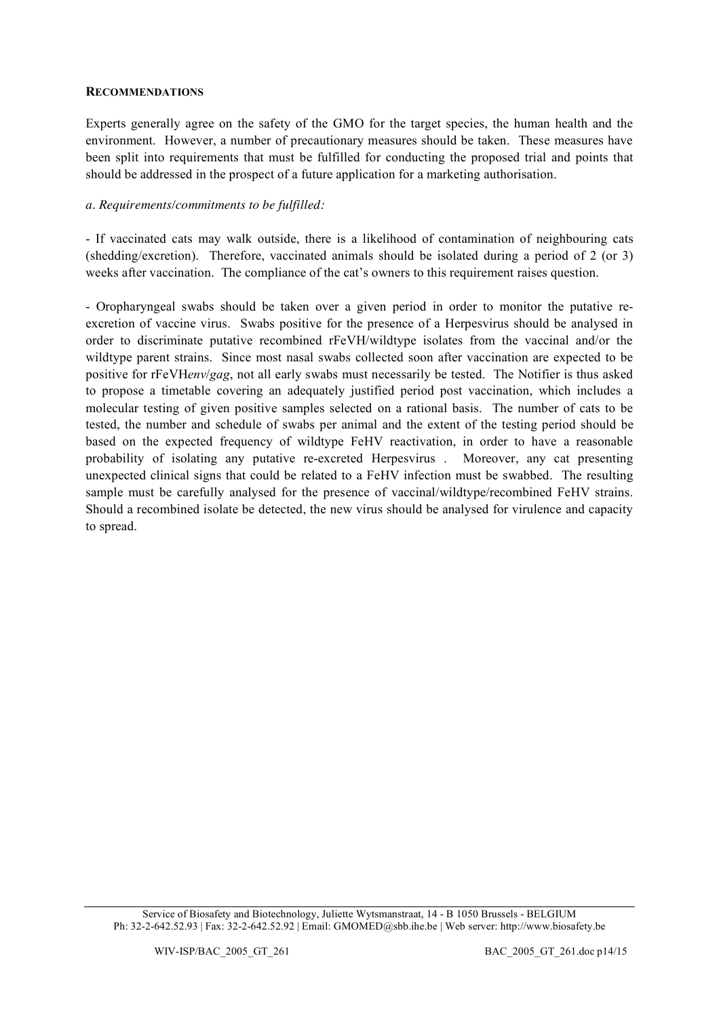#### **RECOMMENDATIONS**

Experts generally agree on the safety of the GMO for the target species, the human health and the environment. However, a number of precautionary measures should be taken. These measures have been split into requirements that must be fulfilled for conducting the proposed trial and points that should be addressed in the prospect of a future application for a marketing authorisation.

#### *a. Requirements/commitments to be fulfilled:*

- If vaccinated cats may walk outside, there is a likelihood of contamination of neighbouring cats (shedding/excretion). Therefore, vaccinated animals should be isolated during a period of 2 (or 3) weeks after vaccination. The compliance of the cat's owners to this requirement raises question.

- Oropharyngeal swabs should be taken over a given period in order to monitor the putative reexcretion of vaccine virus. Swabs positive for the presence of a Herpesvirus should be analysed in order to discriminate putative recombined rFeVH/wildtype isolates from the vaccinal and/or the wildtype parent strains. Since most nasal swabs collected soon after vaccination are expected to be positive for rFeVH*env*/*gag*, not all early swabs must necessarily be tested. The Notifier is thus asked to propose a timetable covering an adequately justified period post vaccination, which includes a molecular testing of given positive samples selected on a rational basis. The number of cats to be tested, the number and schedule of swabs per animal and the extent of the testing period should be based on the expected frequency of wildtype FeHV reactivation, in order to have a reasonable probability of isolating any putative re-excreted Herpesvirus . Moreover, any cat presenting unexpected clinical signs that could be related to a FeHV infection must be swabbed. The resulting sample must be carefully analysed for the presence of vaccinal/wildtype/recombined FeHV strains. Should a recombined isolate be detected, the new virus should be analysed for virulence and capacity to spread.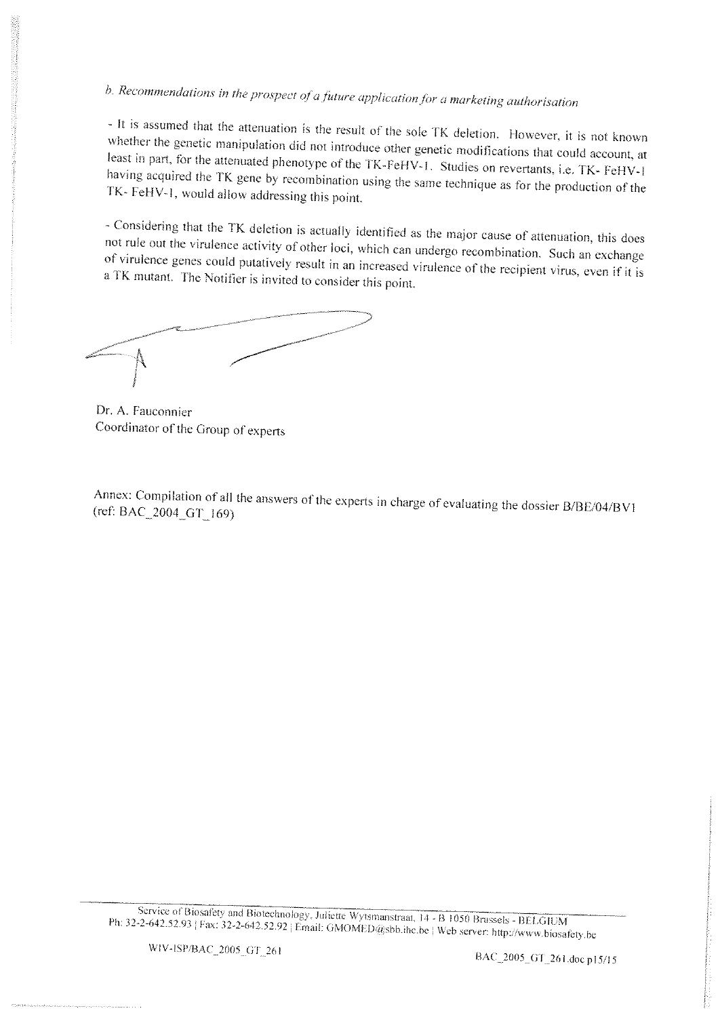b. Recommendations in the prospect of a future application for a marketing authorisation

- It is assumed that the attenuation is the result of the sole TK deletion. However, it is not known whether the genetic manipulation did not introduce other genetic modifications that could account, at least in part, for the attenuated phenotype of the TK-FeHV-1. Studies on revertants, i.e. TK-FeHV-1 having acquired the TK gene by recombination using the same technique as for the production of the TK- FeHV-1, would allow addressing this point.

- Considering that the TK deletion is actually identified as the major cause of attenuation, this does not rule out the virulence activity of other loci, which can undergo recombination. Such an exchange of virulence genes could putatively result in an increased virulence of the recipient virus, even if it is a TK mutant. The Notifier is invited to consider this point.

Dr. A. Fauconnier Coordinator of the Group of experts

Annex: Compilation of all the answers of the experts in charge of evaluating the dossier B/BE/04/BV1 (ref: BAC\_2004\_GT\_169)

Service of Biosafety and Biotechnology, Juliette Wytsmanstraat, 14 - B 1050 Brussels - BELGIUM Ph: 32-2-642.52.93 | Fax: 32-2-642.52.92 | Email: GMOMED@sbb.ihe.be | Web server: http://www.biosafety.be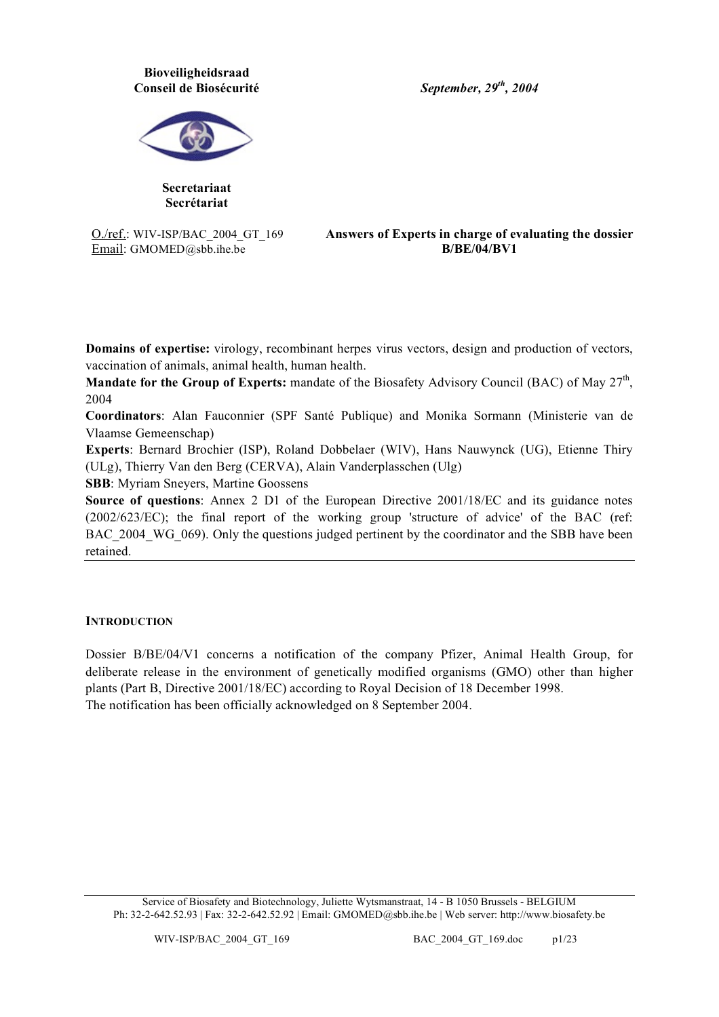### **Bioveiligheidsraad Conseil de Biosécurité**

*September, 29th , 2004*



**Secretariaat Secrétariat**

O./ref.: WIV-ISP/BAC\_2004\_GT\_169 Email: GMOMED@sbb.ihe.be

**Answers of Experts in charge of evaluating the dossier B/BE/04/BV1**

**Domains of expertise:** virology, recombinant herpes virus vectors, design and production of vectors, vaccination of animals, animal health, human health.

**Mandate for the Group of Experts:** mandate of the Biosafety Advisory Council (BAC) of May 27<sup>th</sup>, 2004

**Coordinators**: Alan Fauconnier (SPF Santé Publique) and Monika Sormann (Ministerie van de Vlaamse Gemeenschap)

**Experts**: Bernard Brochier (ISP), Roland Dobbelaer (WIV), Hans Nauwynck (UG), Etienne Thiry (ULg), Thierry Van den Berg (CERVA), Alain Vanderplasschen (Ulg)

**SBB**: Myriam Sneyers, Martine Goossens

**Source of questions**: Annex 2 D1 of the European Directive 2001/18/EC and its guidance notes (2002/623/EC); the final report of the working group 'structure of advice' of the BAC (ref: BAC 2004 WG 069). Only the questions judged pertinent by the coordinator and the SBB have been retained.

#### **INTRODUCTION**

Dossier B/BE/04/V1 concerns a notification of the company Pfizer, Animal Health Group, for deliberate release in the environment of genetically modified organisms (GMO) other than higher plants (Part B, Directive 2001/18/EC) according to Royal Decision of 18 December 1998. The notification has been officially acknowledged on 8 September 2004.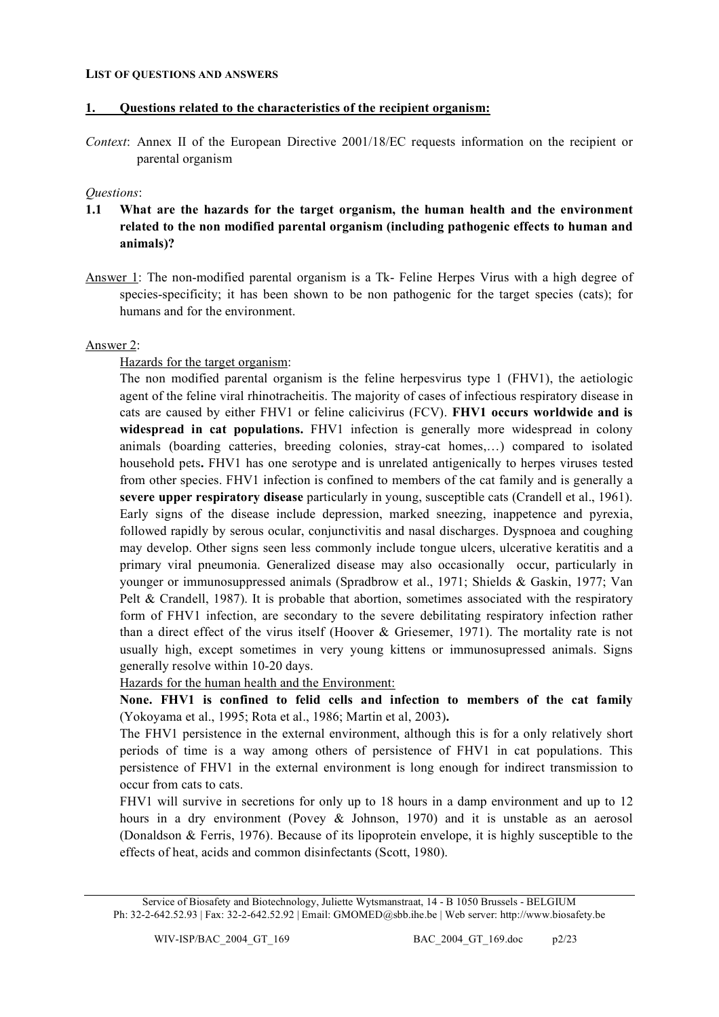#### **LIST OF QUESTIONS AND ANSWERS**

#### **1. Questions related to the characteristics of the recipient organism:**

*Context*: Annex II of the European Directive 2001/18/EC requests information on the recipient or parental organism

#### *Questions*:

- **1.1 What are the hazards for the target organism, the human health and the environment related to the non modified parental organism (including pathogenic effects to human and animals)?**
- Answer 1: The non-modified parental organism is a Tk- Feline Herpes Virus with a high degree of species-specificity; it has been shown to be non pathogenic for the target species (cats); for humans and for the environment.

#### Answer 2:

#### Hazards for the target organism:

The non modified parental organism is the feline herpesvirus type 1 (FHV1), the aetiologic agent of the feline viral rhinotracheitis. The majority of cases of infectious respiratory disease in cats are caused by either FHV1 or feline calicivirus (FCV). **FHV1 occurs worldwide and is widespread in cat populations.** FHV1 infection is generally more widespread in colony animals (boarding catteries, breeding colonies, stray-cat homes,…) compared to isolated household pets**.** FHV1 has one serotype and is unrelated antigenically to herpes viruses tested from other species. FHV1 infection is confined to members of the cat family and is generally a **severe upper respiratory disease** particularly in young, susceptible cats (Crandell et al., 1961). Early signs of the disease include depression, marked sneezing, inappetence and pyrexia, followed rapidly by serous ocular, conjunctivitis and nasal discharges. Dyspnoea and coughing may develop. Other signs seen less commonly include tongue ulcers, ulcerative keratitis and a primary viral pneumonia. Generalized disease may also occasionally occur, particularly in younger or immunosuppressed animals (Spradbrow et al., 1971; Shields & Gaskin, 1977; Van Pelt & Crandell, 1987). It is probable that abortion, sometimes associated with the respiratory form of FHV1 infection, are secondary to the severe debilitating respiratory infection rather than a direct effect of the virus itself (Hoover & Griesemer, 1971). The mortality rate is not usually high, except sometimes in very young kittens or immunosupressed animals. Signs generally resolve within 10-20 days.

Hazards for the human health and the Environment:

**None. FHV1 is confined to felid cells and infection to members of the cat family** (Yokoyama et al., 1995; Rota et al., 1986; Martin et al, 2003)**.**

The FHV1 persistence in the external environment, although this is for a only relatively short periods of time is a way among others of persistence of FHV1 in cat populations. This persistence of FHV1 in the external environment is long enough for indirect transmission to occur from cats to cats.

FHV1 will survive in secretions for only up to 18 hours in a damp environment and up to 12 hours in a dry environment (Povey & Johnson, 1970) and it is unstable as an aerosol (Donaldson & Ferris, 1976). Because of its lipoprotein envelope, it is highly susceptible to the effects of heat, acids and common disinfectants (Scott, 1980).

Service of Biosafety and Biotechnology, Juliette Wytsmanstraat, 14 - B 1050 Brussels - BELGIUM Ph: 32-2-642.52.93 | Fax: 32-2-642.52.92 | Email: GMOMED@sbb.ihe.be | Web server: http://www.biosafety.be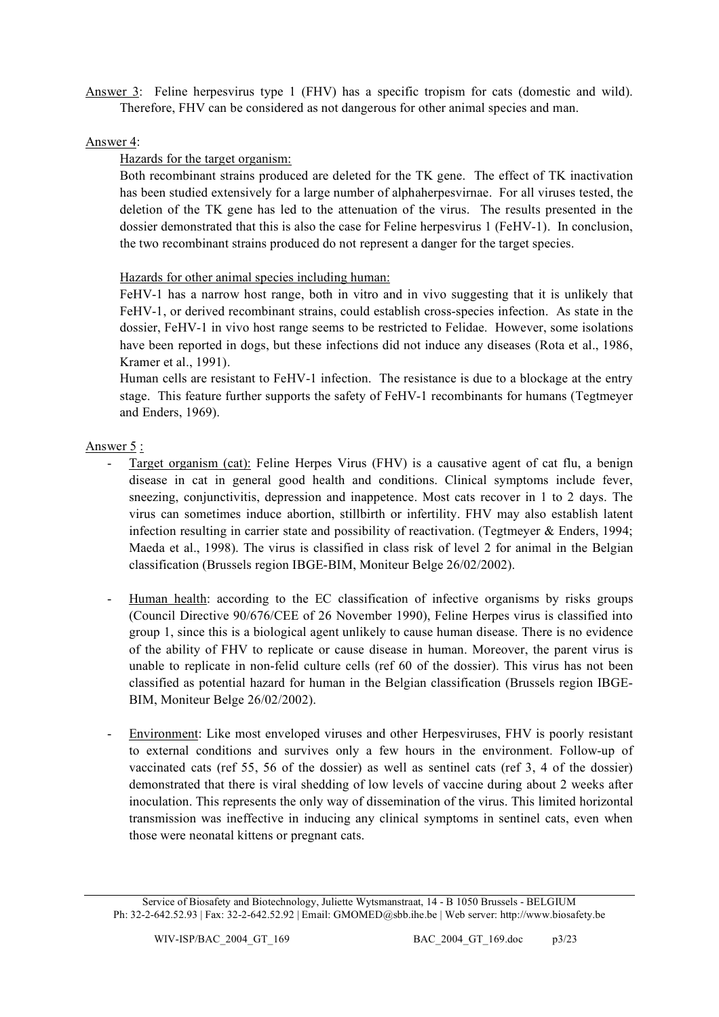Answer 3: Feline herpesvirus type 1 (FHV) has a specific tropism for cats (domestic and wild). Therefore, FHV can be considered as not dangerous for other animal species and man.

### Answer 4:

### Hazards for the target organism:

Both recombinant strains produced are deleted for the TK gene. The effect of TK inactivation has been studied extensively for a large number of alphaherpesvirnae. For all viruses tested, the deletion of the TK gene has led to the attenuation of the virus. The results presented in the dossier demonstrated that this is also the case for Feline herpesvirus 1 (FeHV-1). In conclusion, the two recombinant strains produced do not represent a danger for the target species.

### Hazards for other animal species including human:

FeHV-1 has a narrow host range, both in vitro and in vivo suggesting that it is unlikely that FeHV-1, or derived recombinant strains, could establish cross-species infection. As state in the dossier, FeHV-1 in vivo host range seems to be restricted to Felidae. However, some isolations have been reported in dogs, but these infections did not induce any diseases (Rota et al., 1986, Kramer et al., 1991).

Human cells are resistant to FeHV-1 infection. The resistance is due to a blockage at the entry stage. This feature further supports the safety of FeHV-1 recombinants for humans (Tegtmeyer and Enders, 1969).

### Answer 5 :

- Target organism (cat): Feline Herpes Virus (FHV) is a causative agent of cat flu, a benign disease in cat in general good health and conditions. Clinical symptoms include fever, sneezing, conjunctivitis, depression and inappetence. Most cats recover in 1 to 2 days. The virus can sometimes induce abortion, stillbirth or infertility. FHV may also establish latent infection resulting in carrier state and possibility of reactivation. (Tegtmeyer & Enders, 1994; Maeda et al., 1998). The virus is classified in class risk of level 2 for animal in the Belgian classification (Brussels region IBGE-BIM, Moniteur Belge 26/02/2002).
- Human health: according to the EC classification of infective organisms by risks groups (Council Directive 90/676/CEE of 26 November 1990), Feline Herpes virus is classified into group 1, since this is a biological agent unlikely to cause human disease. There is no evidence of the ability of FHV to replicate or cause disease in human. Moreover, the parent virus is unable to replicate in non-felid culture cells (ref 60 of the dossier). This virus has not been classified as potential hazard for human in the Belgian classification (Brussels region IBGE-BIM, Moniteur Belge 26/02/2002).
- Environment: Like most enveloped viruses and other Herpesviruses, FHV is poorly resistant to external conditions and survives only a few hours in the environment. Follow-up of vaccinated cats (ref 55, 56 of the dossier) as well as sentinel cats (ref 3, 4 of the dossier) demonstrated that there is viral shedding of low levels of vaccine during about 2 weeks after inoculation. This represents the only way of dissemination of the virus. This limited horizontal transmission was ineffective in inducing any clinical symptoms in sentinel cats, even when those were neonatal kittens or pregnant cats.

Service of Biosafety and Biotechnology, Juliette Wytsmanstraat, 14 - B 1050 Brussels - BELGIUM Ph: 32-2-642.52.93 | Fax: 32-2-642.52.92 | Email: GMOMED@sbb.ihe.be | Web server: http://www.biosafety.be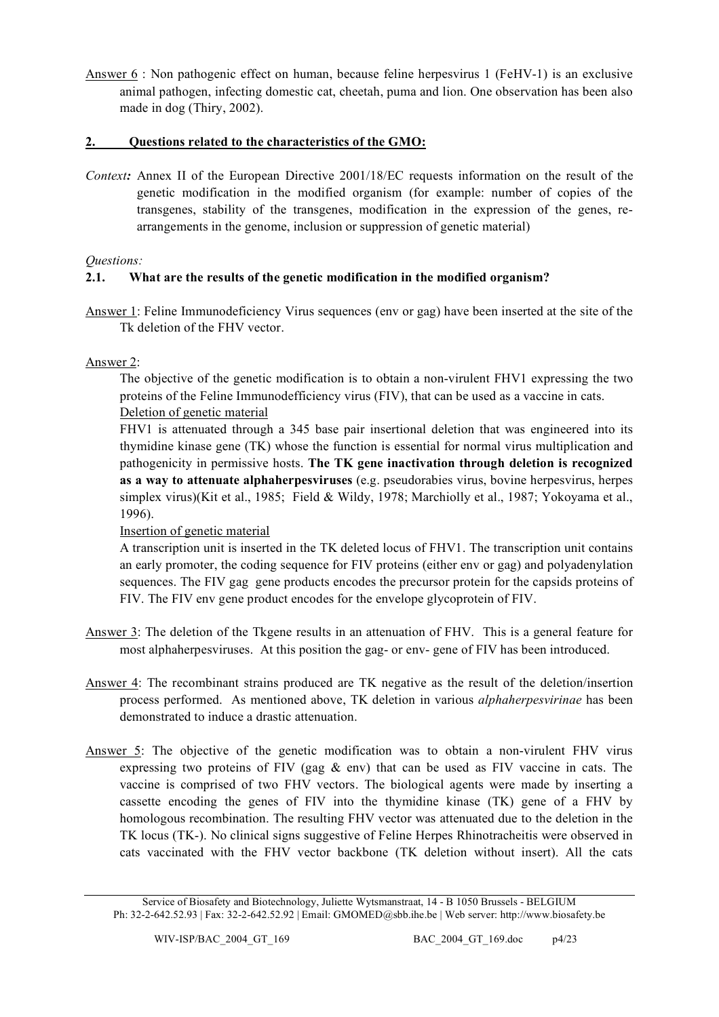Answer 6 : Non pathogenic effect on human, because feline herpesvirus 1 (FeHV-1) is an exclusive animal pathogen, infecting domestic cat, cheetah, puma and lion. One observation has been also made in dog (Thiry, 2002).

# **2. Questions related to the characteristics of the GMO:**

*Context:* Annex II of the European Directive 2001/18/EC requests information on the result of the genetic modification in the modified organism (for example: number of copies of the transgenes, stability of the transgenes, modification in the expression of the genes, rearrangements in the genome, inclusion or suppression of genetic material)

# *Questions:*

# **2.1. What are the results of the genetic modification in the modified organism?**

Answer 1: Feline Immunodeficiency Virus sequences (env or gag) have been inserted at the site of the Tk deletion of the FHV vector.

# Answer 2:

The objective of the genetic modification is to obtain a non-virulent FHV1 expressing the two proteins of the Feline Immunodefficiency virus (FIV), that can be used as a vaccine in cats. Deletion of genetic material

FHV1 is attenuated through a 345 base pair insertional deletion that was engineered into its thymidine kinase gene (TK) whose the function is essential for normal virus multiplication and pathogenicity in permissive hosts. **The TK gene inactivation through deletion is recognized as a way to attenuate alphaherpesviruses** (e.g. pseudorabies virus, bovine herpesvirus, herpes simplex virus)(Kit et al., 1985; Field & Wildy, 1978; Marchiolly et al., 1987; Yokoyama et al., 1996).

# Insertion of genetic material

A transcription unit is inserted in the TK deleted locus of FHV1. The transcription unit contains an early promoter, the coding sequence for FIV proteins (either env or gag) and polyadenylation sequences. The FIV gag gene products encodes the precursor protein for the capsids proteins of FIV. The FIV env gene product encodes for the envelope glycoprotein of FIV.

- Answer 3: The deletion of the Tkgene results in an attenuation of FHV. This is a general feature for most alphaherpesviruses. At this position the gag- or env- gene of FIV has been introduced.
- Answer 4: The recombinant strains produced are TK negative as the result of the deletion/insertion process performed. As mentioned above, TK deletion in various *alphaherpesvirinae* has been demonstrated to induce a drastic attenuation.
- Answer 5: The objective of the genetic modification was to obtain a non-virulent FHV virus expressing two proteins of FIV (gag  $\&$  env) that can be used as FIV vaccine in cats. The vaccine is comprised of two FHV vectors. The biological agents were made by inserting a cassette encoding the genes of FIV into the thymidine kinase (TK) gene of a FHV by homologous recombination. The resulting FHV vector was attenuated due to the deletion in the TK locus (TK-). No clinical signs suggestive of Feline Herpes Rhinotracheitis were observed in cats vaccinated with the FHV vector backbone (TK deletion without insert). All the cats

Service of Biosafety and Biotechnology, Juliette Wytsmanstraat, 14 - B 1050 Brussels - BELGIUM Ph: 32-2-642.52.93 | Fax: 32-2-642.52.92 | Email: GMOMED@sbb.ihe.be | Web server: http://www.biosafety.be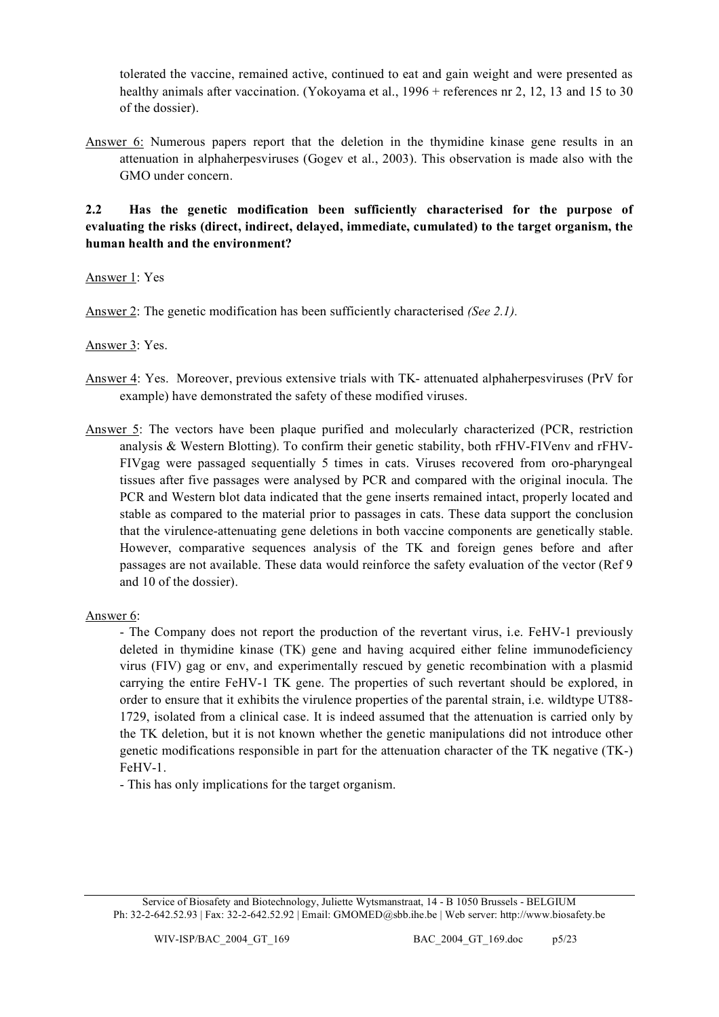tolerated the vaccine, remained active, continued to eat and gain weight and were presented as healthy animals after vaccination. (Yokoyama et al., 1996 + references nr 2, 12, 13 and 15 to 30 of the dossier).

Answer 6: Numerous papers report that the deletion in the thymidine kinase gene results in an attenuation in alphaherpesviruses (Gogev et al., 2003). This observation is made also with the GMO under concern.

**2.2 Has the genetic modification been sufficiently characterised for the purpose of evaluating the risks (direct, indirect, delayed, immediate, cumulated) to the target organism, the human health and the environment?**

Answer 1: Yes

Answer 2: The genetic modification has been sufficiently characterised *(See 2.1).*

Answer 3: Yes.

- Answer 4: Yes. Moreover, previous extensive trials with TK- attenuated alphaherpesviruses (PrV for example) have demonstrated the safety of these modified viruses.
- Answer 5: The vectors have been plaque purified and molecularly characterized (PCR, restriction analysis & Western Blotting). To confirm their genetic stability, both rFHV-FIVenv and rFHV-FIVgag were passaged sequentially 5 times in cats. Viruses recovered from oro-pharyngeal tissues after five passages were analysed by PCR and compared with the original inocula. The PCR and Western blot data indicated that the gene inserts remained intact, properly located and stable as compared to the material prior to passages in cats. These data support the conclusion that the virulence-attenuating gene deletions in both vaccine components are genetically stable. However, comparative sequences analysis of the TK and foreign genes before and after passages are not available. These data would reinforce the safety evaluation of the vector (Ref 9 and 10 of the dossier).

#### Answer 6:

- The Company does not report the production of the revertant virus, i.e. FeHV-1 previously deleted in thymidine kinase (TK) gene and having acquired either feline immunodeficiency virus (FIV) gag or env, and experimentally rescued by genetic recombination with a plasmid carrying the entire FeHV-1 TK gene. The properties of such revertant should be explored, in order to ensure that it exhibits the virulence properties of the parental strain, i.e. wildtype UT88- 1729, isolated from a clinical case. It is indeed assumed that the attenuation is carried only by the TK deletion, but it is not known whether the genetic manipulations did not introduce other genetic modifications responsible in part for the attenuation character of the TK negative (TK-) FeHV-1.

- This has only implications for the target organism.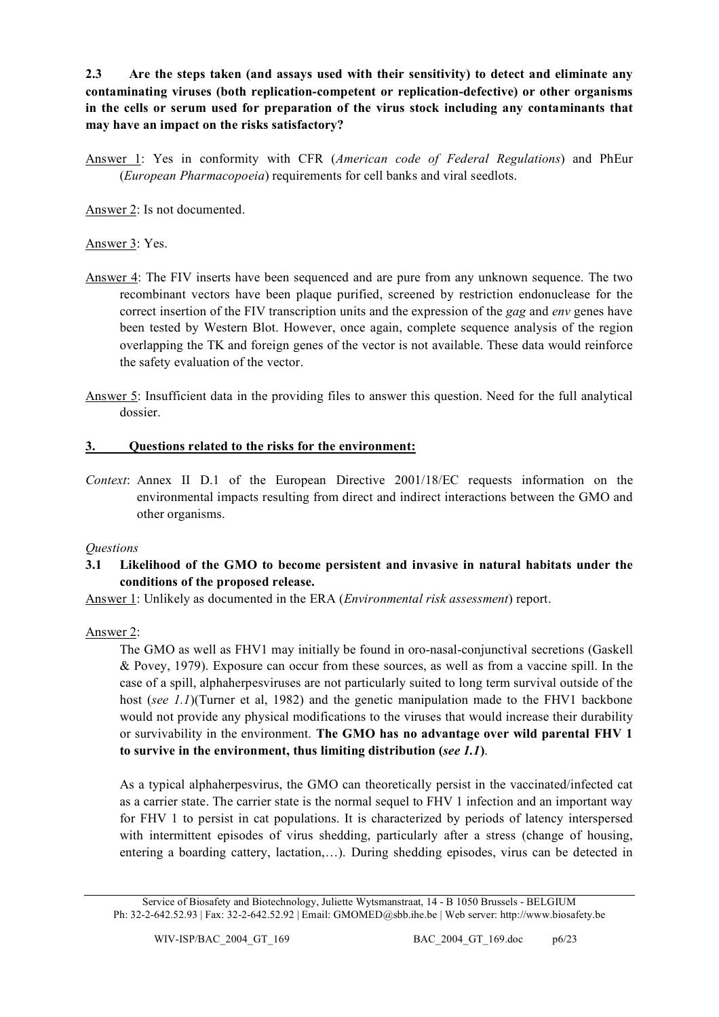**2.3 Are the steps taken (and assays used with their sensitivity) to detect and eliminate any contaminating viruses (both replication-competent or replication-defective) or other organisms in the cells or serum used for preparation of the virus stock including any contaminants that may have an impact on the risks satisfactory?**

Answer 1: Yes in conformity with CFR (*American code of Federal Regulations*) and PhEur (*European Pharmacopoeia*) requirements for cell banks and viral seedlots.

Answer 2: Is not documented.

Answer 3: Yes.

- Answer 4: The FIV inserts have been sequenced and are pure from any unknown sequence. The two recombinant vectors have been plaque purified, screened by restriction endonuclease for the correct insertion of the FIV transcription units and the expression of the *gag* and *env* genes have been tested by Western Blot. However, once again, complete sequence analysis of the region overlapping the TK and foreign genes of the vector is not available. These data would reinforce the safety evaluation of the vector.
- Answer 5: Insufficient data in the providing files to answer this question. Need for the full analytical dossier.

# **3. Questions related to the risks for the environment:**

*Context*: Annex II D.1 of the European Directive 2001/18/EC requests information on the environmental impacts resulting from direct and indirect interactions between the GMO and other organisms.

# *Questions*

**3.1 Likelihood of the GMO to become persistent and invasive in natural habitats under the conditions of the proposed release.**

Answer 1: Unlikely as documented in the ERA (*Environmental risk assessment*) report.

# Answer 2:

The GMO as well as FHV1 may initially be found in oro-nasal-conjunctival secretions (Gaskell & Povey, 1979). Exposure can occur from these sources, as well as from a vaccine spill. In the case of a spill, alphaherpesviruses are not particularly suited to long term survival outside of the host (*see 1.1*)(Turner et al, 1982) and the genetic manipulation made to the FHV1 backbone would not provide any physical modifications to the viruses that would increase their durability or survivability in the environment. **The GMO has no advantage over wild parental FHV 1 to survive in the environment, thus limiting distribution (***see 1.1***)**.

As a typical alphaherpesvirus, the GMO can theoretically persist in the vaccinated/infected cat as a carrier state. The carrier state is the normal sequel to FHV 1 infection and an important way for FHV 1 to persist in cat populations. It is characterized by periods of latency interspersed with intermittent episodes of virus shedding, particularly after a stress (change of housing, entering a boarding cattery, lactation,…). During shedding episodes, virus can be detected in

Service of Biosafety and Biotechnology, Juliette Wytsmanstraat, 14 - B 1050 Brussels - BELGIUM Ph: 32-2-642.52.93 | Fax: 32-2-642.52.92 | Email: GMOMED@sbb.ihe.be | Web server: http://www.biosafety.be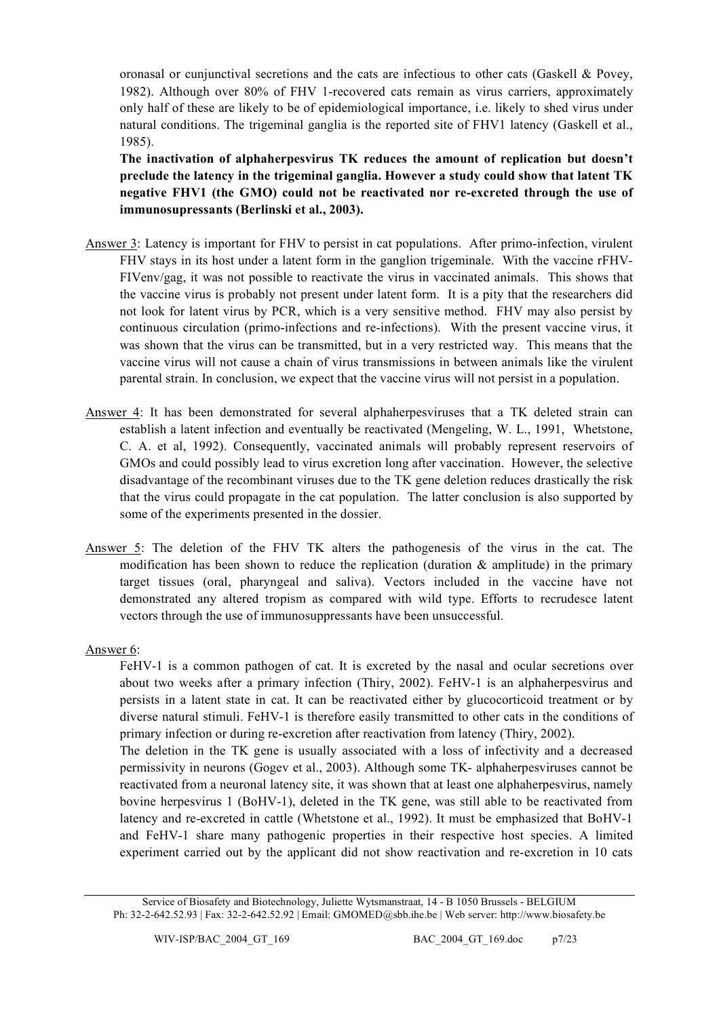oronasal or cunjunctival secretions and the cats are infectious to other cats (Gaskell & Povey, 1982). Although over 80% of FHV 1-recovered cats remain as virus carriers, approximately only half of these are likely to be of epidemiological importance, i.e. likely to shed virus under natural conditions. The trigeminal ganglia is the reported site of FHV1 latency (Gaskell et al., 1985).

**The inactivation of alphaherpesvirus TK reduces the amount of replication but doesn't preclude the latency in the trigeminal ganglia. However a study could show that latent TK negative FHV1 (the GMO) could not be reactivated nor re-excreted through the use of immunosupressants (Berlinski et al., 2003).**

- Answer 3: Latency is important for FHV to persist in cat populations. After primo-infection, virulent FHV stays in its host under a latent form in the ganglion trigeminale. With the vaccine rFHV-FIVenv/gag, it was not possible to reactivate the virus in vaccinated animals. This shows that the vaccine virus is probably not present under latent form. It is a pity that the researchers did not look for latent virus by PCR, which is a very sensitive method. FHV may also persist by continuous circulation (primo-infections and re-infections). With the present vaccine virus, it was shown that the virus can be transmitted, but in a very restricted way. This means that the vaccine virus will not cause a chain of virus transmissions in between animals like the virulent parental strain. In conclusion, we expect that the vaccine virus will not persist in a population.
- Answer 4: It has been demonstrated for several alphaherpesviruses that a TK deleted strain can establish a latent infection and eventually be reactivated (Mengeling, W. L., 1991, Whetstone, C. A. et al, 1992). Consequently, vaccinated animals will probably represent reservoirs of GMOs and could possibly lead to virus excretion long after vaccination. However, the selective disadvantage of the recombinant viruses due to the TK gene deletion reduces drastically the risk that the virus could propagate in the cat population. The latter conclusion is also supported by some of the experiments presented in the dossier.
- Answer 5: The deletion of the FHV TK alters the pathogenesis of the virus in the cat. The modification has been shown to reduce the replication (duration  $\&$  amplitude) in the primary target tissues (oral, pharyngeal and saliva). Vectors included in the vaccine have not demonstrated any altered tropism as compared with wild type. Efforts to recrudesce latent vectors through the use of immunosuppressants have been unsuccessful.

# Answer 6:

FeHV-1 is a common pathogen of cat. It is excreted by the nasal and ocular secretions over about two weeks after a primary infection (Thiry, 2002). FeHV-1 is an alphaherpesvirus and persists in a latent state in cat. It can be reactivated either by glucocorticoid treatment or by diverse natural stimuli. FeHV-1 is therefore easily transmitted to other cats in the conditions of primary infection or during re-excretion after reactivation from latency (Thiry, 2002).

The deletion in the TK gene is usually associated with a loss of infectivity and a decreased permissivity in neurons (Gogev et al., 2003). Although some TK- alphaherpesviruses cannot be reactivated from a neuronal latency site, it was shown that at least one alphaherpesvirus, namely bovine herpesvirus 1 (BoHV-1), deleted in the TK gene, was still able to be reactivated from latency and re-excreted in cattle (Whetstone et al., 1992). It must be emphasized that BoHV-1 and FeHV-1 share many pathogenic properties in their respective host species. A limited experiment carried out by the applicant did not show reactivation and re-excretion in 10 cats

Service of Biosafety and Biotechnology, Juliette Wytsmanstraat, 14 - B 1050 Brussels - BELGIUM Ph: 32-2-642.52.93 | Fax: 32-2-642.52.92 | Email: GMOMED@sbb.ihe.be | Web server: http://www.biosafety.be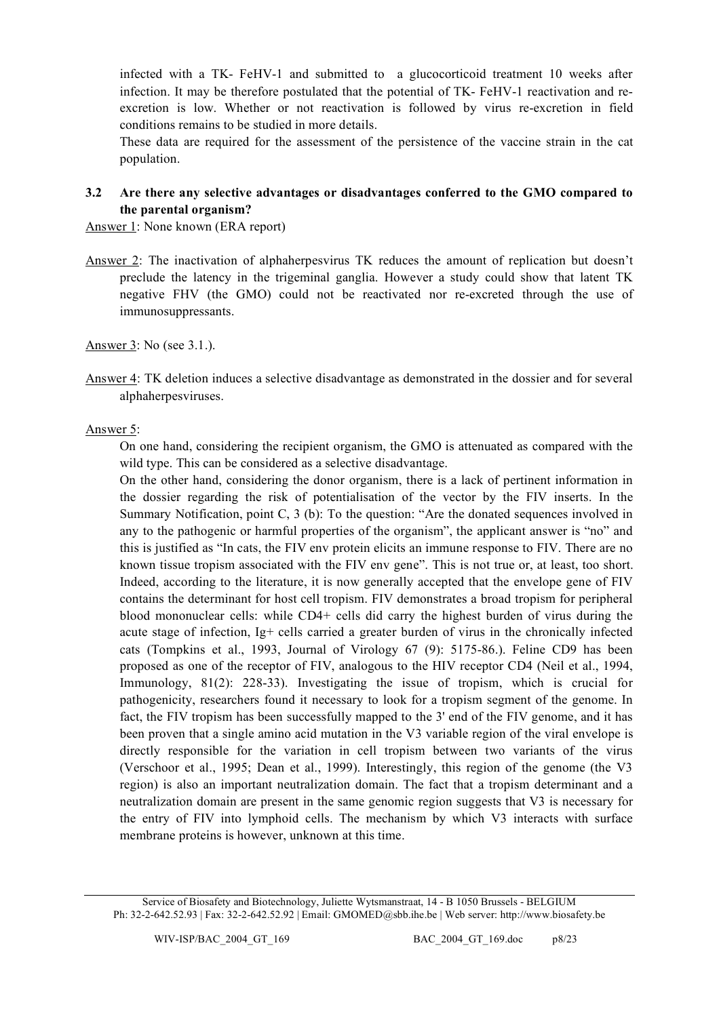infected with a TK- FeHV-1 and submitted to a glucocorticoid treatment 10 weeks after infection. It may be therefore postulated that the potential of TK- FeHV-1 reactivation and reexcretion is low. Whether or not reactivation is followed by virus re-excretion in field conditions remains to be studied in more details.

These data are required for the assessment of the persistence of the vaccine strain in the cat population.

### **3.2 Are there any selective advantages or disadvantages conferred to the GMO compared to the parental organism?**

Answer 1: None known (ERA report)

Answer 2: The inactivation of alphaherpesvirus TK reduces the amount of replication but doesn't preclude the latency in the trigeminal ganglia. However a study could show that latent TK negative FHV (the GMO) could not be reactivated nor re-excreted through the use of immunosuppressants.

Answer 3: No (see 3.1.).

Answer 4: TK deletion induces a selective disadvantage as demonstrated in the dossier and for several alphaherpesviruses.

### Answer 5:

On one hand, considering the recipient organism, the GMO is attenuated as compared with the wild type. This can be considered as a selective disadvantage.

On the other hand, considering the donor organism, there is a lack of pertinent information in the dossier regarding the risk of potentialisation of the vector by the FIV inserts. In the Summary Notification, point C, 3 (b): To the question: "Are the donated sequences involved in any to the pathogenic or harmful properties of the organism", the applicant answer is "no" and this is justified as "In cats, the FIV env protein elicits an immune response to FIV. There are no known tissue tropism associated with the FIV env gene". This is not true or, at least, too short. Indeed, according to the literature, it is now generally accepted that the envelope gene of FIV contains the determinant for host cell tropism. FIV demonstrates a broad tropism for peripheral blood mononuclear cells: while CD4+ cells did carry the highest burden of virus during the acute stage of infection, Ig+ cells carried a greater burden of virus in the chronically infected cats (Tompkins et al., 1993, Journal of Virology 67 (9): 5175-86.). Feline CD9 has been proposed as one of the receptor of FIV, analogous to the HIV receptor CD4 (Neil et al., 1994, Immunology, 81(2): 228-33). Investigating the issue of tropism, which is crucial for pathogenicity, researchers found it necessary to look for a tropism segment of the genome. In fact, the FIV tropism has been successfully mapped to the 3' end of the FIV genome, and it has been proven that a single amino acid mutation in the V3 variable region of the viral envelope is directly responsible for the variation in cell tropism between two variants of the virus (Verschoor et al., 1995; Dean et al., 1999). Interestingly, this region of the genome (the V3 region) is also an important neutralization domain. The fact that a tropism determinant and a neutralization domain are present in the same genomic region suggests that V3 is necessary for the entry of FIV into lymphoid cells. The mechanism by which V3 interacts with surface membrane proteins is however, unknown at this time.

Service of Biosafety and Biotechnology, Juliette Wytsmanstraat, 14 - B 1050 Brussels - BELGIUM Ph: 32-2-642.52.93 | Fax: 32-2-642.52.92 | Email: GMOMED@sbb.ihe.be | Web server: http://www.biosafety.be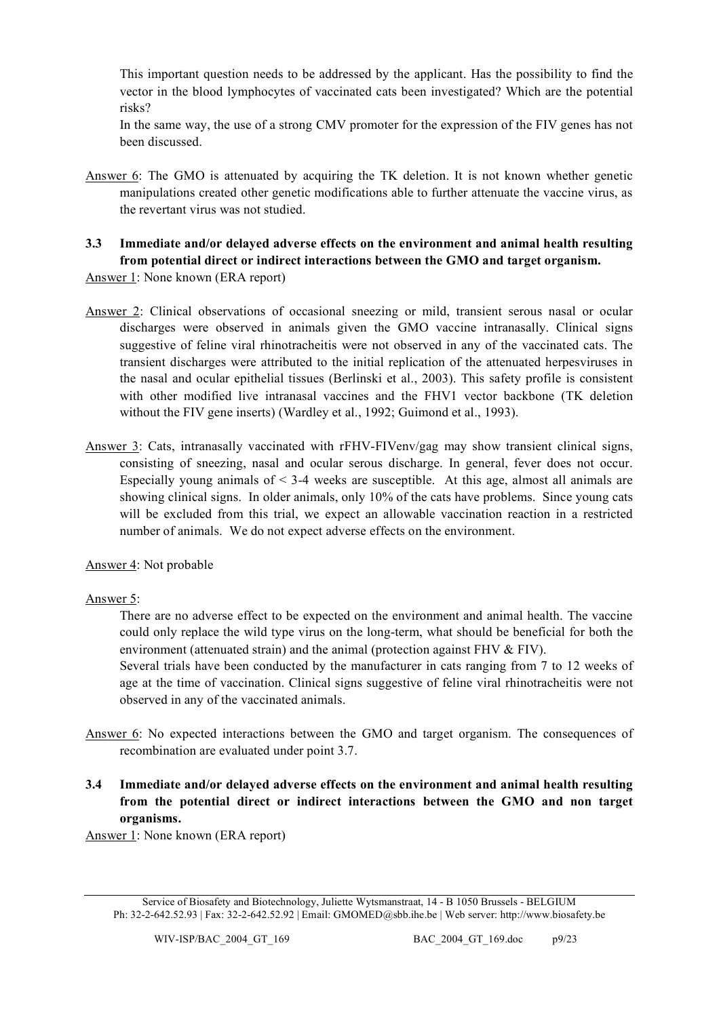This important question needs to be addressed by the applicant. Has the possibility to find the vector in the blood lymphocytes of vaccinated cats been investigated? Which are the potential risks?

In the same way, the use of a strong CMV promoter for the expression of the FIV genes has not been discussed.

Answer 6: The GMO is attenuated by acquiring the TK deletion. It is not known whether genetic manipulations created other genetic modifications able to further attenuate the vaccine virus, as the revertant virus was not studied.

# **3.3 Immediate and/or delayed adverse effects on the environment and animal health resulting from potential direct or indirect interactions between the GMO and target organism.**

Answer 1: None known (ERA report)

- Answer 2: Clinical observations of occasional sneezing or mild, transient serous nasal or ocular discharges were observed in animals given the GMO vaccine intranasally. Clinical signs suggestive of feline viral rhinotracheitis were not observed in any of the vaccinated cats. The transient discharges were attributed to the initial replication of the attenuated herpesviruses in the nasal and ocular epithelial tissues (Berlinski et al., 2003). This safety profile is consistent with other modified live intranasal vaccines and the FHV1 vector backbone (TK deletion without the FIV gene inserts) (Wardley et al., 1992; Guimond et al., 1993).
- Answer 3: Cats, intranasally vaccinated with rFHV-FIVenv/gag may show transient clinical signs, consisting of sneezing, nasal and ocular serous discharge. In general, fever does not occur. Especially young animals of  $\leq$  3-4 weeks are susceptible. At this age, almost all animals are showing clinical signs. In older animals, only 10% of the cats have problems. Since young cats will be excluded from this trial, we expect an allowable vaccination reaction in a restricted number of animals. We do not expect adverse effects on the environment.

Answer 4: Not probable

# Answer 5:

There are no adverse effect to be expected on the environment and animal health. The vaccine could only replace the wild type virus on the long-term, what should be beneficial for both the environment (attenuated strain) and the animal (protection against FHV & FIV).

Several trials have been conducted by the manufacturer in cats ranging from 7 to 12 weeks of age at the time of vaccination. Clinical signs suggestive of feline viral rhinotracheitis were not observed in any of the vaccinated animals.

- Answer 6: No expected interactions between the GMO and target organism. The consequences of recombination are evaluated under point 3.7.
- **3.4 Immediate and/or delayed adverse effects on the environment and animal health resulting from the potential direct or indirect interactions between the GMO and non target organisms.**

Answer 1: None known (ERA report)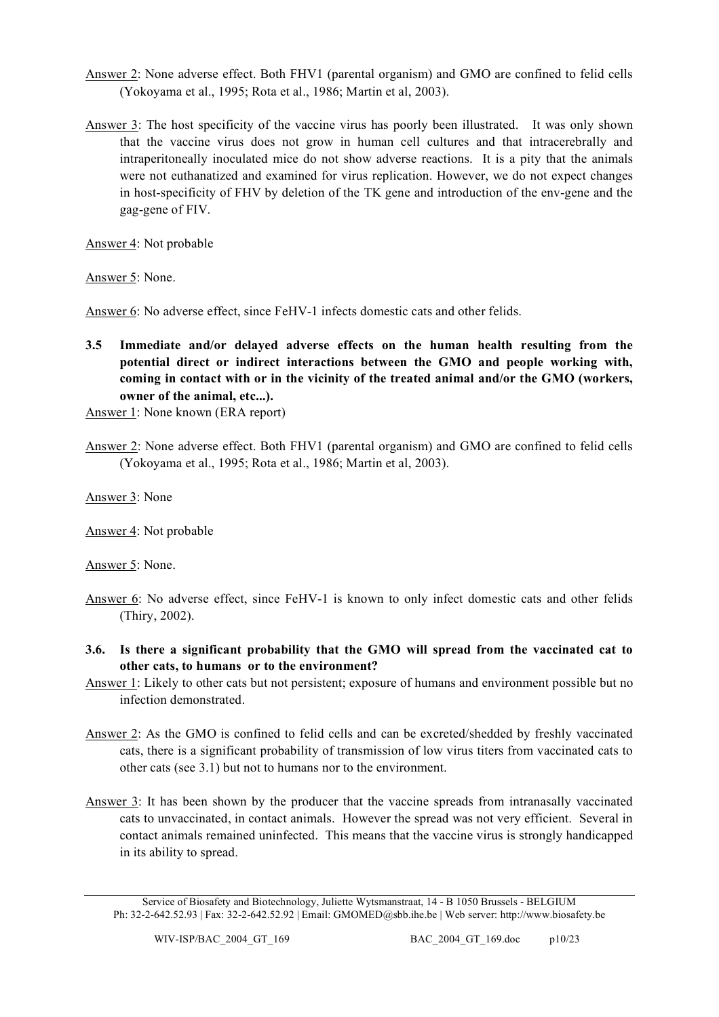- Answer 2: None adverse effect. Both FHV1 (parental organism) and GMO are confined to felid cells (Yokoyama et al., 1995; Rota et al., 1986; Martin et al, 2003).
- Answer 3: The host specificity of the vaccine virus has poorly been illustrated. It was only shown that the vaccine virus does not grow in human cell cultures and that intracerebrally and intraperitoneally inoculated mice do not show adverse reactions. It is a pity that the animals were not euthanatized and examined for virus replication. However, we do not expect changes in host-specificity of FHV by deletion of the TK gene and introduction of the env-gene and the gag-gene of FIV.

Answer 4: Not probable

Answer 5: None.

Answer 6: No adverse effect, since FeHV-1 infects domestic cats and other felids.

**3.5 Immediate and/or delayed adverse effects on the human health resulting from the potential direct or indirect interactions between the GMO and people working with, coming in contact with or in the vicinity of the treated animal and/or the GMO (workers, owner of the animal, etc...).**

Answer 1: None known (ERA report)

Answer 2: None adverse effect. Both FHV1 (parental organism) and GMO are confined to felid cells (Yokoyama et al., 1995; Rota et al., 1986; Martin et al, 2003).

Answer 3: None

Answer 4: Not probable

Answer 5: None.

- Answer 6: No adverse effect, since FeHV-1 is known to only infect domestic cats and other felids (Thiry, 2002).
- **3.6. Is there a significant probability that the GMO will spread from the vaccinated cat to other cats, to humans or to the environment?**
- Answer 1: Likely to other cats but not persistent; exposure of humans and environment possible but no infection demonstrated.
- Answer 2: As the GMO is confined to felid cells and can be excreted/shedded by freshly vaccinated cats, there is a significant probability of transmission of low virus titers from vaccinated cats to other cats (see 3.1) but not to humans nor to the environment.
- Answer 3: It has been shown by the producer that the vaccine spreads from intranasally vaccinated cats to unvaccinated, in contact animals. However the spread was not very efficient. Several in contact animals remained uninfected. This means that the vaccine virus is strongly handicapped in its ability to spread.

Service of Biosafety and Biotechnology, Juliette Wytsmanstraat, 14 - B 1050 Brussels - BELGIUM Ph: 32-2-642.52.93 | Fax: 32-2-642.52.92 | Email: GMOMED@sbb.ihe.be | Web server: http://www.biosafety.be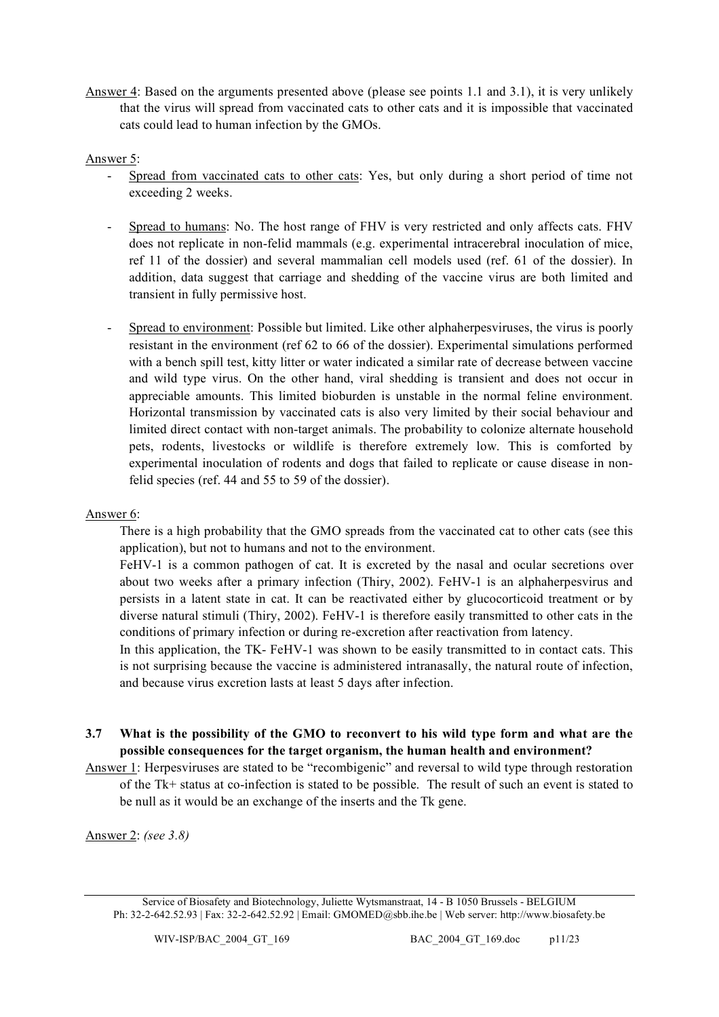Answer 4: Based on the arguments presented above (please see points 1.1 and 3.1), it is very unlikely that the virus will spread from vaccinated cats to other cats and it is impossible that vaccinated cats could lead to human infection by the GMOs.

### Answer 5:

- Spread from vaccinated cats to other cats: Yes, but only during a short period of time not exceeding 2 weeks.
- Spread to humans: No. The host range of FHV is very restricted and only affects cats. FHV does not replicate in non-felid mammals (e.g. experimental intracerebral inoculation of mice, ref 11 of the dossier) and several mammalian cell models used (ref. 61 of the dossier). In addition, data suggest that carriage and shedding of the vaccine virus are both limited and transient in fully permissive host.
- Spread to environment: Possible but limited. Like other alphaherpesviruses, the virus is poorly resistant in the environment (ref 62 to 66 of the dossier). Experimental simulations performed with a bench spill test, kitty litter or water indicated a similar rate of decrease between vaccine and wild type virus. On the other hand, viral shedding is transient and does not occur in appreciable amounts. This limited bioburden is unstable in the normal feline environment. Horizontal transmission by vaccinated cats is also very limited by their social behaviour and limited direct contact with non-target animals. The probability to colonize alternate household pets, rodents, livestocks or wildlife is therefore extremely low. This is comforted by experimental inoculation of rodents and dogs that failed to replicate or cause disease in nonfelid species (ref. 44 and 55 to 59 of the dossier).

#### Answer 6:

There is a high probability that the GMO spreads from the vaccinated cat to other cats (see this application), but not to humans and not to the environment.

FeHV-1 is a common pathogen of cat. It is excreted by the nasal and ocular secretions over about two weeks after a primary infection (Thiry, 2002). FeHV-1 is an alphaherpesvirus and persists in a latent state in cat. It can be reactivated either by glucocorticoid treatment or by diverse natural stimuli (Thiry, 2002). FeHV-1 is therefore easily transmitted to other cats in the conditions of primary infection or during re-excretion after reactivation from latency.

In this application, the TK- FeHV-1 was shown to be easily transmitted to in contact cats. This is not surprising because the vaccine is administered intranasally, the natural route of infection, and because virus excretion lasts at least 5 days after infection.

- **3.7 What is the possibility of the GMO to reconvert to his wild type form and what are the possible consequences for the target organism, the human health and environment?**
- Answer 1: Herpesviruses are stated to be "recombigenic" and reversal to wild type through restoration of the Tk+ status at co-infection is stated to be possible. The result of such an event is stated to be null as it would be an exchange of the inserts and the Tk gene.

Answer 2: *(see 3.8)*

Service of Biosafety and Biotechnology, Juliette Wytsmanstraat, 14 - B 1050 Brussels - BELGIUM Ph: 32-2-642.52.93 | Fax: 32-2-642.52.92 | Email: GMOMED@sbb.ihe.be | Web server: http://www.biosafety.be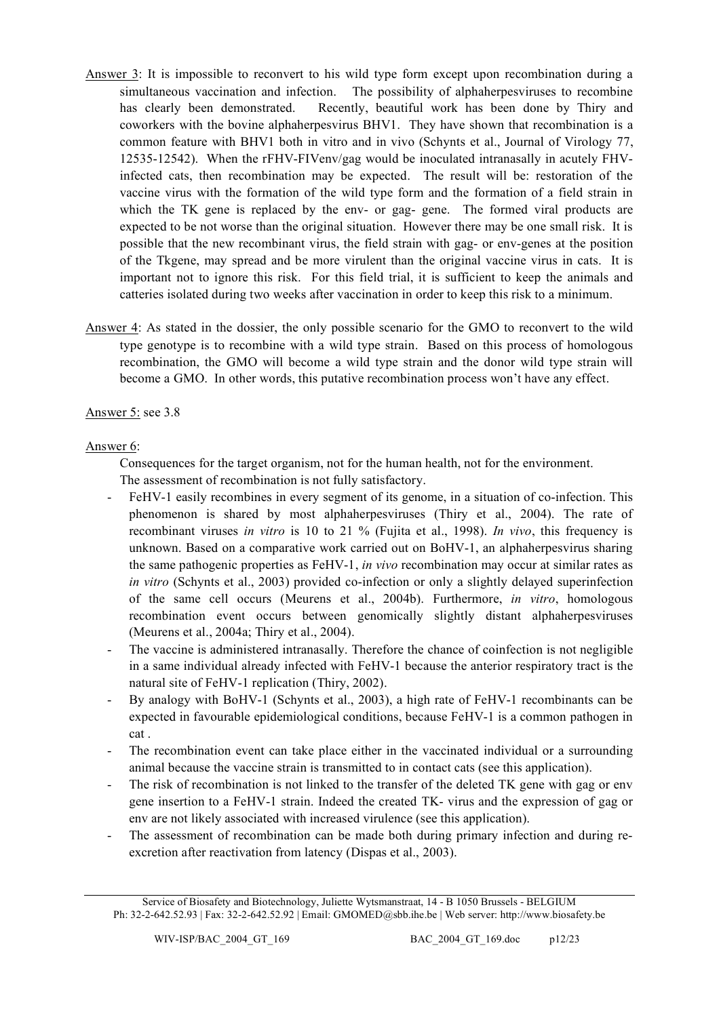- Answer 3: It is impossible to reconvert to his wild type form except upon recombination during a simultaneous vaccination and infection. The possibility of alphaherpesviruses to recombine has clearly been demonstrated. Recently, beautiful work has been done by Thiry and coworkers with the bovine alphaherpesvirus BHV1. They have shown that recombination is a common feature with BHV1 both in vitro and in vivo (Schynts et al., Journal of Virology 77, 12535-12542). When the rFHV-FIVenv/gag would be inoculated intranasally in acutely FHVinfected cats, then recombination may be expected. The result will be: restoration of the vaccine virus with the formation of the wild type form and the formation of a field strain in which the TK gene is replaced by the env- or gag- gene. The formed viral products are expected to be not worse than the original situation. However there may be one small risk. It is possible that the new recombinant virus, the field strain with gag- or env-genes at the position of the Tkgene, may spread and be more virulent than the original vaccine virus in cats. It is important not to ignore this risk. For this field trial, it is sufficient to keep the animals and catteries isolated during two weeks after vaccination in order to keep this risk to a minimum.
- Answer 4: As stated in the dossier, the only possible scenario for the GMO to reconvert to the wild type genotype is to recombine with a wild type strain. Based on this process of homologous recombination, the GMO will become a wild type strain and the donor wild type strain will become a GMO. In other words, this putative recombination process won't have any effect.

# Answer 5: see 3.8

### Answer 6:

Consequences for the target organism, not for the human health, not for the environment. The assessment of recombination is not fully satisfactory.

- FeHV-1 easily recombines in every segment of its genome, in a situation of co-infection. This phenomenon is shared by most alphaherpesviruses (Thiry et al., 2004). The rate of recombinant viruses *in vitro* is 10 to 21 % (Fujita et al., 1998). *In vivo*, this frequency is unknown. Based on a comparative work carried out on BoHV-1, an alphaherpesvirus sharing the same pathogenic properties as FeHV-1, *in vivo* recombination may occur at similar rates as *in vitro* (Schynts et al., 2003) provided co-infection or only a slightly delayed superinfection of the same cell occurs (Meurens et al., 2004b). Furthermore, *in vitro*, homologous recombination event occurs between genomically slightly distant alphaherpesviruses (Meurens et al., 2004a; Thiry et al., 2004).
- The vaccine is administered intranasally. Therefore the chance of coinfection is not negligible in a same individual already infected with FeHV-1 because the anterior respiratory tract is the natural site of FeHV-1 replication (Thiry, 2002).
- By analogy with BoHV-1 (Schynts et al., 2003), a high rate of FeHV-1 recombinants can be expected in favourable epidemiological conditions, because FeHV-1 is a common pathogen in cat .
- The recombination event can take place either in the vaccinated individual or a surrounding animal because the vaccine strain is transmitted to in contact cats (see this application).
- The risk of recombination is not linked to the transfer of the deleted TK gene with gag or env gene insertion to a FeHV-1 strain. Indeed the created TK- virus and the expression of gag or env are not likely associated with increased virulence (see this application).
- The assessment of recombination can be made both during primary infection and during reexcretion after reactivation from latency (Dispas et al., 2003).

Service of Biosafety and Biotechnology, Juliette Wytsmanstraat, 14 - B 1050 Brussels - BELGIUM Ph: 32-2-642.52.93 | Fax: 32-2-642.52.92 | Email: GMOMED@sbb.ihe.be | Web server: http://www.biosafety.be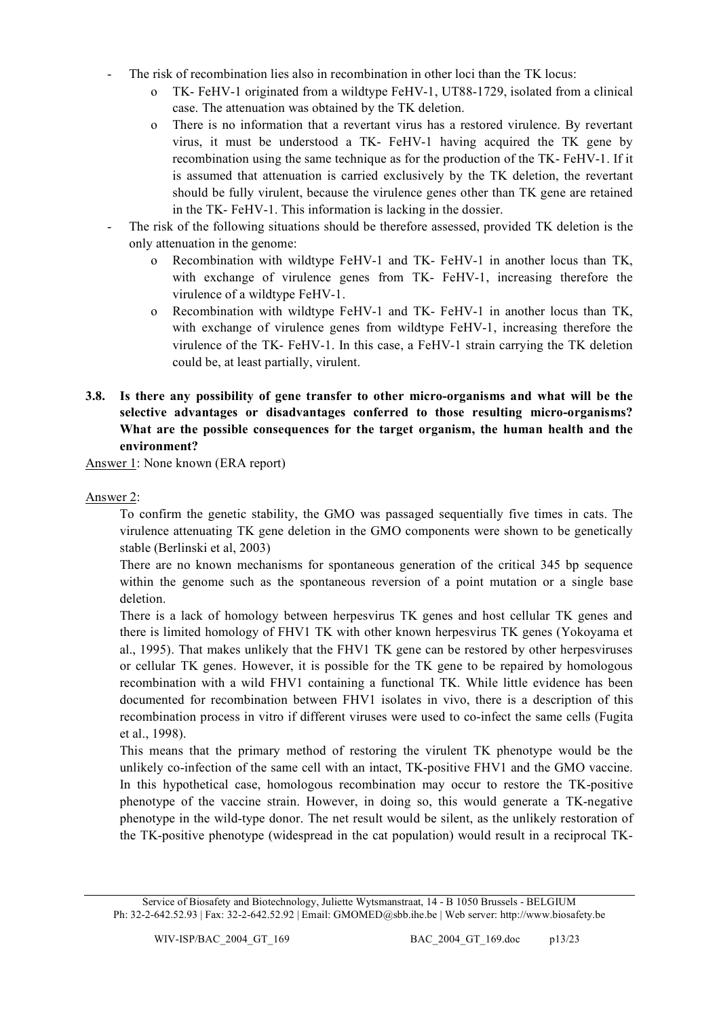- The risk of recombination lies also in recombination in other loci than the TK locus:
	- o TK- FeHV-1 originated from a wildtype FeHV-1, UT88-1729, isolated from a clinical case. The attenuation was obtained by the TK deletion.
	- o There is no information that a revertant virus has a restored virulence. By revertant virus, it must be understood a TK- FeHV-1 having acquired the TK gene by recombination using the same technique as for the production of the TK- FeHV-1. If it is assumed that attenuation is carried exclusively by the TK deletion, the revertant should be fully virulent, because the virulence genes other than TK gene are retained in the TK- FeHV-1. This information is lacking in the dossier.
- The risk of the following situations should be therefore assessed, provided TK deletion is the only attenuation in the genome:
	- o Recombination with wildtype FeHV-1 and TK- FeHV-1 in another locus than TK, with exchange of virulence genes from TK- FeHV-1, increasing therefore the virulence of a wildtype FeHV-1.
	- o Recombination with wildtype FeHV-1 and TK- FeHV-1 in another locus than TK, with exchange of virulence genes from wildtype FeHV-1, increasing therefore the virulence of the TK- FeHV-1. In this case, a FeHV-1 strain carrying the TK deletion could be, at least partially, virulent.
- **3.8. Is there any possibility of gene transfer to other micro-organisms and what will be the selective advantages or disadvantages conferred to those resulting micro-organisms? What are the possible consequences for the target organism, the human health and the environment?**

Answer 1: None known (ERA report)

### Answer 2:

To confirm the genetic stability, the GMO was passaged sequentially five times in cats. The virulence attenuating TK gene deletion in the GMO components were shown to be genetically stable (Berlinski et al, 2003)

There are no known mechanisms for spontaneous generation of the critical 345 bp sequence within the genome such as the spontaneous reversion of a point mutation or a single base deletion.

There is a lack of homology between herpesvirus TK genes and host cellular TK genes and there is limited homology of FHV1 TK with other known herpesvirus TK genes (Yokoyama et al., 1995). That makes unlikely that the FHV1 TK gene can be restored by other herpesviruses or cellular TK genes. However, it is possible for the TK gene to be repaired by homologous recombination with a wild FHV1 containing a functional TK. While little evidence has been documented for recombination between FHV1 isolates in vivo, there is a description of this recombination process in vitro if different viruses were used to co-infect the same cells (Fugita et al., 1998).

This means that the primary method of restoring the virulent TK phenotype would be the unlikely co-infection of the same cell with an intact, TK-positive FHV1 and the GMO vaccine. In this hypothetical case, homologous recombination may occur to restore the TK-positive phenotype of the vaccine strain. However, in doing so, this would generate a TK-negative phenotype in the wild-type donor. The net result would be silent, as the unlikely restoration of the TK-positive phenotype (widespread in the cat population) would result in a reciprocal TK-

Service of Biosafety and Biotechnology, Juliette Wytsmanstraat, 14 - B 1050 Brussels - BELGIUM Ph: 32-2-642.52.93 | Fax: 32-2-642.52.92 | Email: GMOMED@sbb.ihe.be | Web server: http://www.biosafety.be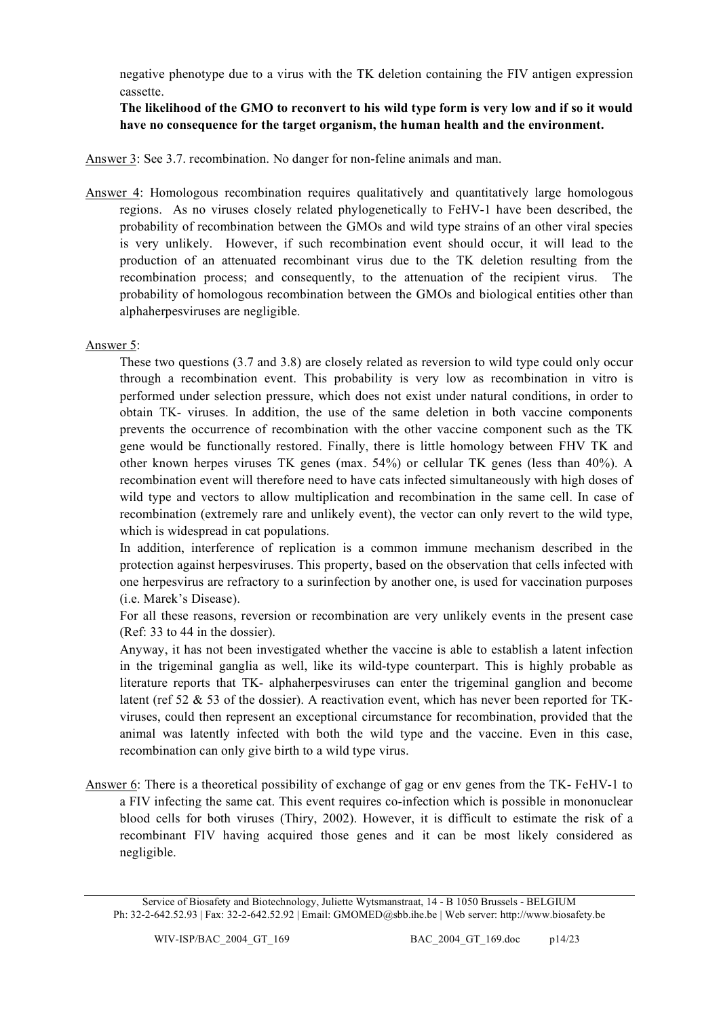negative phenotype due to a virus with the TK deletion containing the FIV antigen expression cassette.

**The likelihood of the GMO to reconvert to his wild type form is very low and if so it would have no consequence for the target organism, the human health and the environment.**

Answer 3: See 3.7. recombination. No danger for non-feline animals and man.

Answer 4: Homologous recombination requires qualitatively and quantitatively large homologous regions. As no viruses closely related phylogenetically to FeHV-1 have been described, the probability of recombination between the GMOs and wild type strains of an other viral species is very unlikely. However, if such recombination event should occur, it will lead to the production of an attenuated recombinant virus due to the TK deletion resulting from the recombination process; and consequently, to the attenuation of the recipient virus. The probability of homologous recombination between the GMOs and biological entities other than alphaherpesviruses are negligible.

### Answer 5:

These two questions (3.7 and 3.8) are closely related as reversion to wild type could only occur through a recombination event. This probability is very low as recombination in vitro is performed under selection pressure, which does not exist under natural conditions, in order to obtain TK- viruses. In addition, the use of the same deletion in both vaccine components prevents the occurrence of recombination with the other vaccine component such as the TK gene would be functionally restored. Finally, there is little homology between FHV TK and other known herpes viruses TK genes (max. 54%) or cellular TK genes (less than 40%). A recombination event will therefore need to have cats infected simultaneously with high doses of wild type and vectors to allow multiplication and recombination in the same cell. In case of recombination (extremely rare and unlikely event), the vector can only revert to the wild type, which is widespread in cat populations.

In addition, interference of replication is a common immune mechanism described in the protection against herpesviruses. This property, based on the observation that cells infected with one herpesvirus are refractory to a surinfection by another one, is used for vaccination purposes (i.e. Marek's Disease).

For all these reasons, reversion or recombination are very unlikely events in the present case (Ref: 33 to 44 in the dossier).

Anyway, it has not been investigated whether the vaccine is able to establish a latent infection in the trigeminal ganglia as well, like its wild-type counterpart. This is highly probable as literature reports that TK- alphaherpesviruses can enter the trigeminal ganglion and become latent (ref 52 & 53 of the dossier). A reactivation event, which has never been reported for TKviruses, could then represent an exceptional circumstance for recombination, provided that the animal was latently infected with both the wild type and the vaccine. Even in this case, recombination can only give birth to a wild type virus.

Answer 6: There is a theoretical possibility of exchange of gag or env genes from the TK- FeHV-1 to a FIV infecting the same cat. This event requires co-infection which is possible in mononuclear blood cells for both viruses (Thiry, 2002). However, it is difficult to estimate the risk of a recombinant FIV having acquired those genes and it can be most likely considered as negligible.

Service of Biosafety and Biotechnology, Juliette Wytsmanstraat, 14 - B 1050 Brussels - BELGIUM Ph: 32-2-642.52.93 | Fax: 32-2-642.52.92 | Email: GMOMED@sbb.ihe.be | Web server: http://www.biosafety.be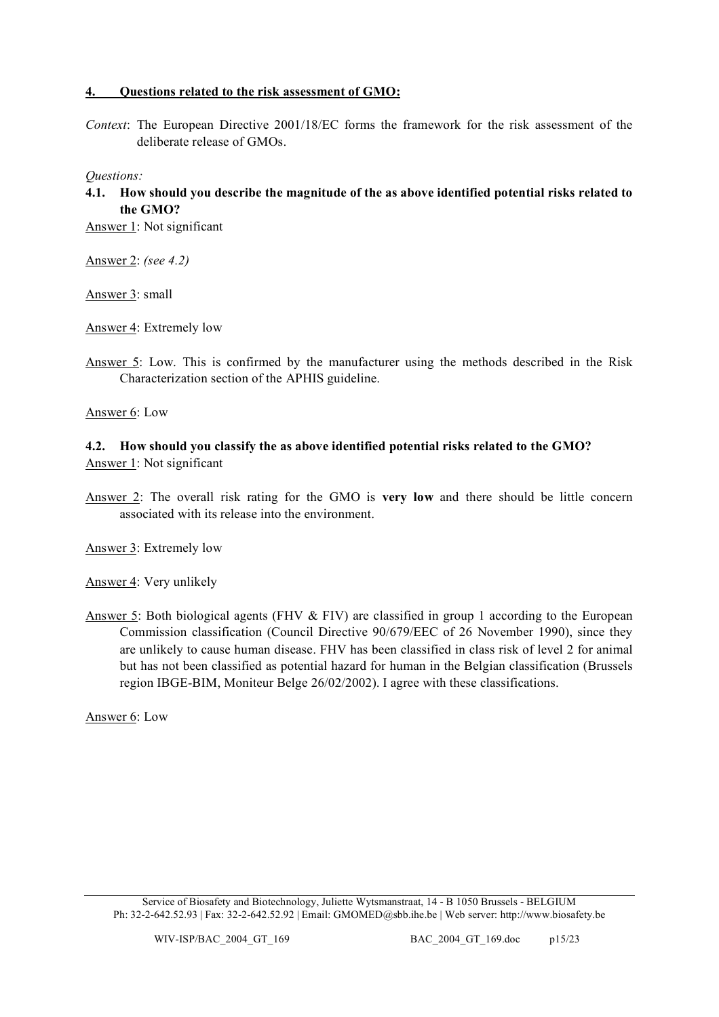### **4. Questions related to the risk assessment of GMO:**

*Context*: The European Directive 2001/18/EC forms the framework for the risk assessment of the deliberate release of GMOs.

*Questions:*

**4.1. How should you describe the magnitude of the as above identified potential risks related to the GMO?**

Answer 1: Not significant

Answer 2: *(see 4.2)*

Answer 3: small

Answer 4: Extremely low

Answer 5: Low. This is confirmed by the manufacturer using the methods described in the Risk Characterization section of the APHIS guideline.

Answer 6: Low

# **4.2. How should you classify the as above identified potential risks related to the GMO?** Answer 1: Not significant

Answer 2: The overall risk rating for the GMO is **very low** and there should be little concern associated with its release into the environment.

Answer 3: Extremely low

Answer 4: Very unlikely

Answer 5: Both biological agents (FHV & FIV) are classified in group 1 according to the European Commission classification (Council Directive 90/679/EEC of 26 November 1990), since they are unlikely to cause human disease. FHV has been classified in class risk of level 2 for animal but has not been classified as potential hazard for human in the Belgian classification (Brussels region IBGE-BIM, Moniteur Belge 26/02/2002). I agree with these classifications.

Answer 6: Low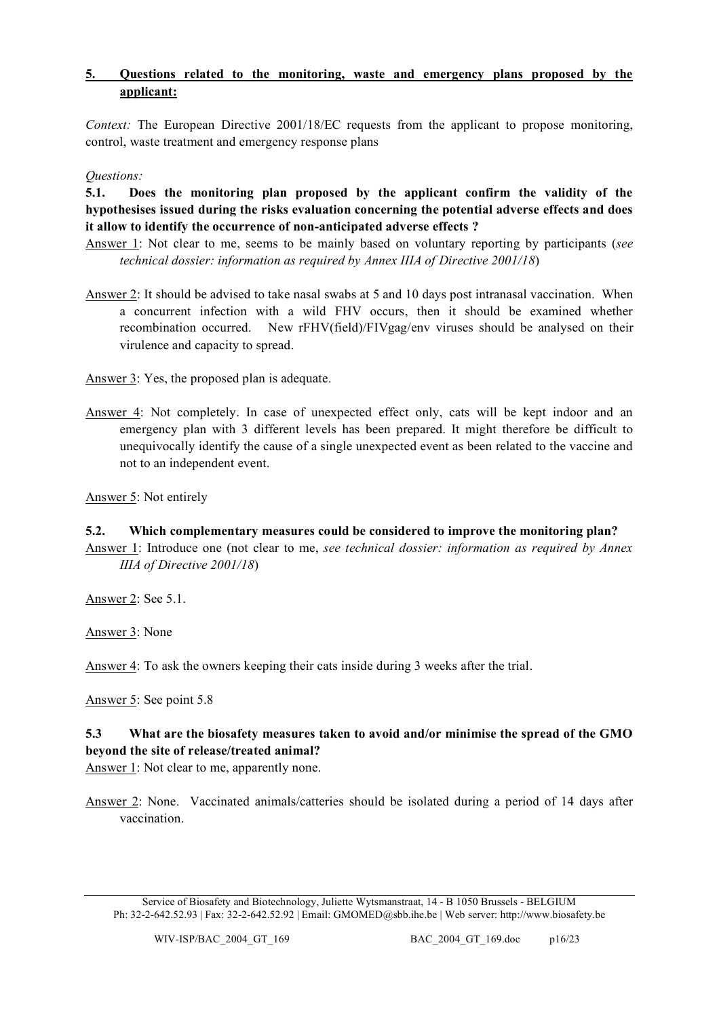# **5. Questions related to the monitoring, waste and emergency plans proposed by the applicant:**

*Context:* The European Directive 2001/18/EC requests from the applicant to propose monitoring, control, waste treatment and emergency response plans

*Questions:*

**5.1. Does the monitoring plan proposed by the applicant confirm the validity of the hypothesises issued during the risks evaluation concerning the potential adverse effects and does it allow to identify the occurrence of non-anticipated adverse effects ?**

- Answer 1: Not clear to me, seems to be mainly based on voluntary reporting by participants (*see technical dossier: information as required by Annex IIIA of Directive 2001/18*)
- Answer 2: It should be advised to take nasal swabs at 5 and 10 days post intranasal vaccination. When a concurrent infection with a wild FHV occurs, then it should be examined whether recombination occurred. New rFHV(field)/FIVgag/env viruses should be analysed on their virulence and capacity to spread.

Answer 3: Yes, the proposed plan is adequate.

Answer 4: Not completely. In case of unexpected effect only, cats will be kept indoor and an emergency plan with 3 different levels has been prepared. It might therefore be difficult to unequivocally identify the cause of a single unexpected event as been related to the vaccine and not to an independent event.

Answer 5: Not entirely

- **5.2. Which complementary measures could be considered to improve the monitoring plan?**
- Answer 1: Introduce one (not clear to me, *see technical dossier: information as required by Annex IIIA of Directive 2001/18*)

Answer 2: See 5.1.

Answer 3: None

Answer 4: To ask the owners keeping their cats inside during 3 weeks after the trial.

Answer 5: See point 5.8

# **5.3 What are the biosafety measures taken to avoid and/or minimise the spread of the GMO beyond the site of release/treated animal?**

Answer 1: Not clear to me, apparently none.

Answer 2: None. Vaccinated animals/catteries should be isolated during a period of 14 days after vaccination.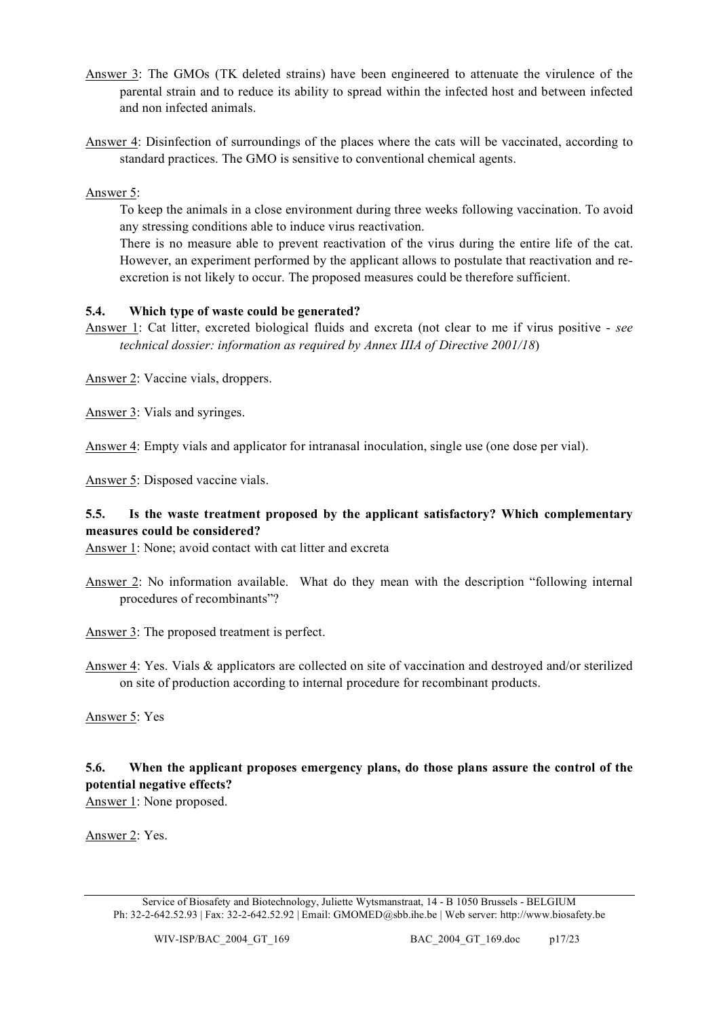- Answer 3: The GMOs (TK deleted strains) have been engineered to attenuate the virulence of the parental strain and to reduce its ability to spread within the infected host and between infected and non infected animals.
- Answer 4: Disinfection of surroundings of the places where the cats will be vaccinated, according to standard practices. The GMO is sensitive to conventional chemical agents.

Answer 5:

To keep the animals in a close environment during three weeks following vaccination. To avoid any stressing conditions able to induce virus reactivation.

There is no measure able to prevent reactivation of the virus during the entire life of the cat. However, an experiment performed by the applicant allows to postulate that reactivation and reexcretion is not likely to occur. The proposed measures could be therefore sufficient.

# **5.4. Which type of waste could be generated?**

Answer 1: Cat litter, excreted biological fluids and excreta (not clear to me if virus positive - *see technical dossier: information as required by Annex IIIA of Directive 2001/18*)

Answer 2: Vaccine vials, droppers.

Answer 3: Vials and syringes.

Answer 4: Empty vials and applicator for intranasal inoculation, single use (one dose per vial).

Answer 5: Disposed vaccine vials.

# **5.5. Is the waste treatment proposed by the applicant satisfactory? Which complementary measures could be considered?**

Answer 1: None; avoid contact with cat litter and excreta

Answer 2: No information available. What do they mean with the description "following internal procedures of recombinants"?

Answer 3: The proposed treatment is perfect.

Answer 4: Yes. Vials & applicators are collected on site of vaccination and destroyed and/or sterilized on site of production according to internal procedure for recombinant products.

Answer 5: Yes

# **5.6. When the applicant proposes emergency plans, do those plans assure the control of the potential negative effects?**

Answer 1: None proposed.

Answer 2: Yes.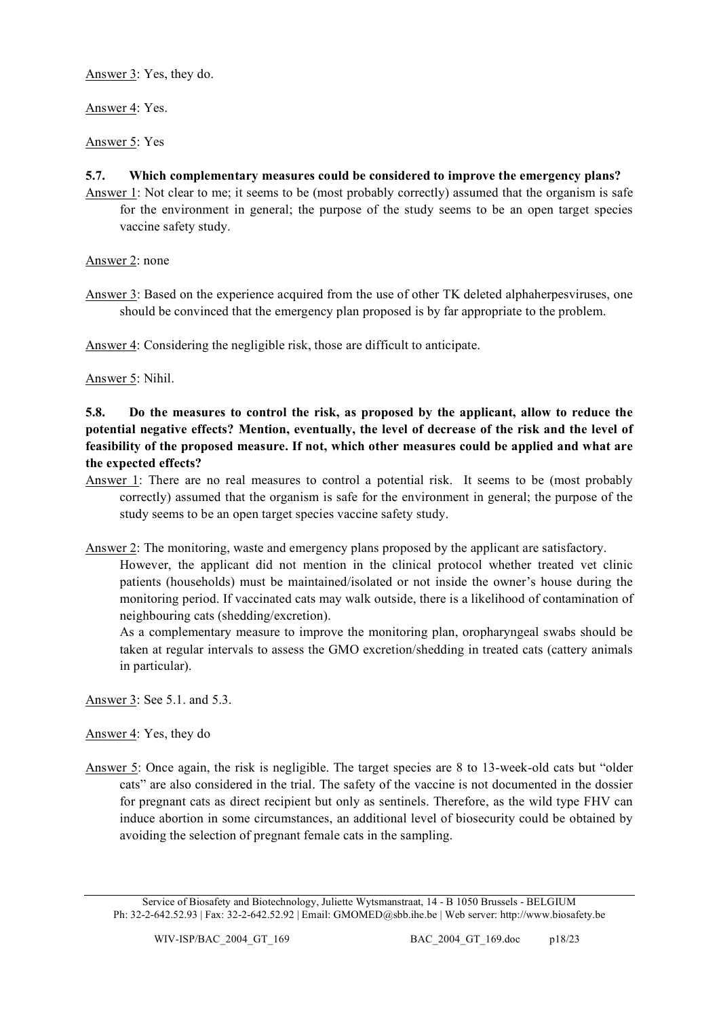Answer 3: Yes, they do.

Answer 4: Yes.

Answer 5: Yes

# **5.7. Which complementary measures could be considered to improve the emergency plans?**

Answer 1: Not clear to me; it seems to be (most probably correctly) assumed that the organism is safe for the environment in general; the purpose of the study seems to be an open target species vaccine safety study.

Answer 2: none

Answer 3: Based on the experience acquired from the use of other TK deleted alphaherpesviruses, one should be convinced that the emergency plan proposed is by far appropriate to the problem.

Answer 4: Considering the negligible risk, those are difficult to anticipate.

Answer 5: Nihil.

# **5.8. Do the measures to control the risk, as proposed by the applicant, allow to reduce the potential negative effects? Mention, eventually, the level of decrease of the risk and the level of feasibility of the proposed measure. If not, which other measures could be applied and what are the expected effects?**

Answer 1: There are no real measures to control a potential risk. It seems to be (most probably correctly) assumed that the organism is safe for the environment in general; the purpose of the study seems to be an open target species vaccine safety study.

Answer 2: The monitoring, waste and emergency plans proposed by the applicant are satisfactory.

However, the applicant did not mention in the clinical protocol whether treated vet clinic patients (households) must be maintained/isolated or not inside the owner's house during the monitoring period. If vaccinated cats may walk outside, there is a likelihood of contamination of neighbouring cats (shedding/excretion).

As a complementary measure to improve the monitoring plan, oropharyngeal swabs should be taken at regular intervals to assess the GMO excretion/shedding in treated cats (cattery animals in particular).

Answer 3: See 5.1. and 5.3.

Answer 4: Yes, they do

Answer 5: Once again, the risk is negligible. The target species are 8 to 13-week-old cats but "older cats" are also considered in the trial. The safety of the vaccine is not documented in the dossier for pregnant cats as direct recipient but only as sentinels. Therefore, as the wild type FHV can induce abortion in some circumstances, an additional level of biosecurity could be obtained by avoiding the selection of pregnant female cats in the sampling.

Service of Biosafety and Biotechnology, Juliette Wytsmanstraat, 14 - B 1050 Brussels - BELGIUM Ph: 32-2-642.52.93 | Fax: 32-2-642.52.92 | Email: GMOMED@sbb.ihe.be | Web server: http://www.biosafety.be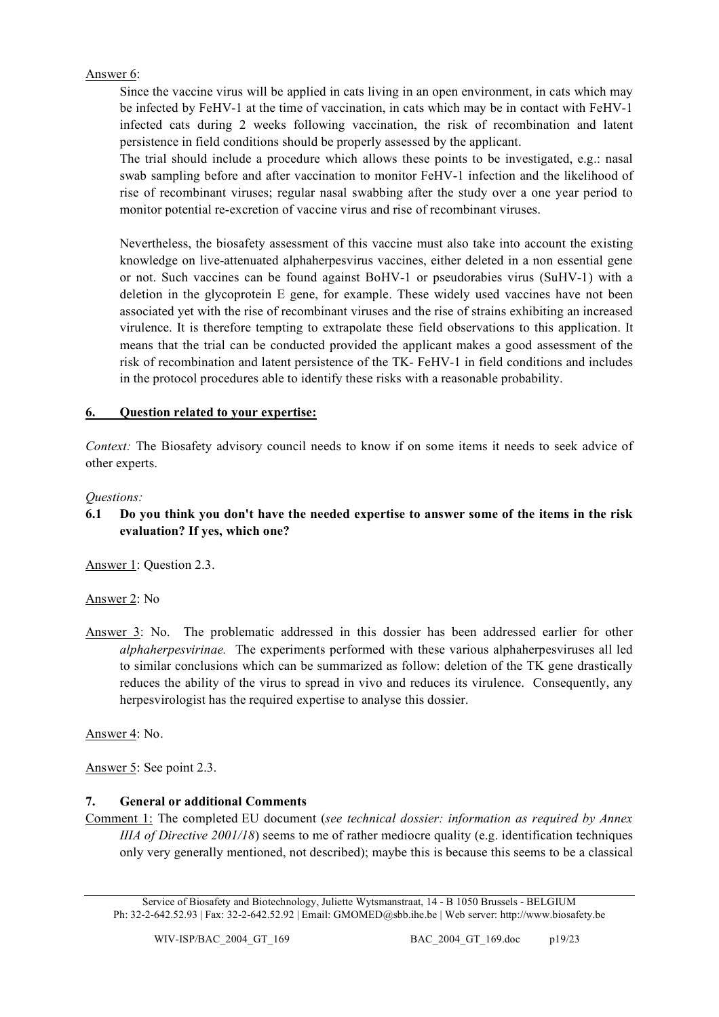# Answer 6:

Since the vaccine virus will be applied in cats living in an open environment, in cats which may be infected by FeHV-1 at the time of vaccination, in cats which may be in contact with FeHV-1 infected cats during 2 weeks following vaccination, the risk of recombination and latent persistence in field conditions should be properly assessed by the applicant.

The trial should include a procedure which allows these points to be investigated, e.g.: nasal swab sampling before and after vaccination to monitor FeHV-1 infection and the likelihood of rise of recombinant viruses; regular nasal swabbing after the study over a one year period to monitor potential re-excretion of vaccine virus and rise of recombinant viruses.

Nevertheless, the biosafety assessment of this vaccine must also take into account the existing knowledge on live-attenuated alphaherpesvirus vaccines, either deleted in a non essential gene or not. Such vaccines can be found against BoHV-1 or pseudorabies virus (SuHV-1) with a deletion in the glycoprotein E gene, for example. These widely used vaccines have not been associated yet with the rise of recombinant viruses and the rise of strains exhibiting an increased virulence. It is therefore tempting to extrapolate these field observations to this application. It means that the trial can be conducted provided the applicant makes a good assessment of the risk of recombination and latent persistence of the TK- FeHV-1 in field conditions and includes in the protocol procedures able to identify these risks with a reasonable probability.

# **6. Question related to your expertise:**

*Context:* The Biosafety advisory council needs to know if on some items it needs to seek advice of other experts.

# *Questions:*

**6.1 Do you think you don't have the needed expertise to answer some of the items in the risk evaluation? If yes, which one?**

Answer 1: Question 2.3.

Answer 2: No

Answer 3: No. The problematic addressed in this dossier has been addressed earlier for other *alphaherpesvirinae.* The experiments performed with these various alphaherpesviruses all led to similar conclusions which can be summarized as follow: deletion of the TK gene drastically reduces the ability of the virus to spread in vivo and reduces its virulence. Consequently, any herpesvirologist has the required expertise to analyse this dossier.

Answer 4: No.

Answer 5: See point 2.3.

# **7. General or additional Comments**

Comment 1: The completed EU document (*see technical dossier: information as required by Annex IIIA of Directive 2001/18*) seems to me of rather mediocre quality (e.g. identification techniques only very generally mentioned, not described); maybe this is because this seems to be a classical

Service of Biosafety and Biotechnology, Juliette Wytsmanstraat, 14 - B 1050 Brussels - BELGIUM Ph: 32-2-642.52.93 | Fax: 32-2-642.52.92 | Email: GMOMED@sbb.ihe.be | Web server: http://www.biosafety.be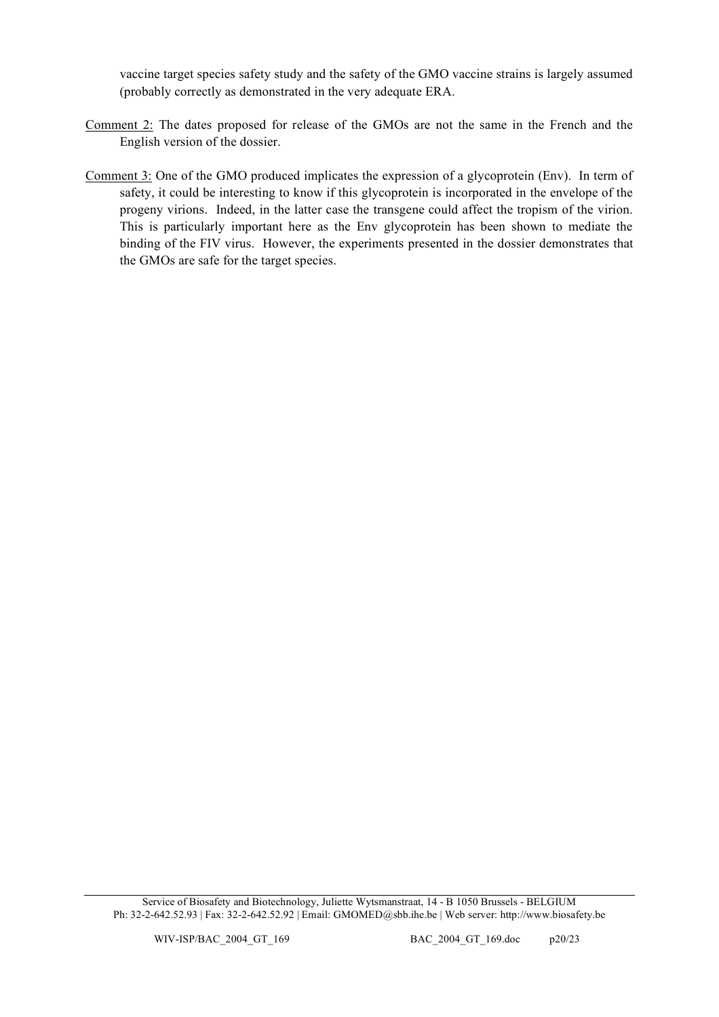vaccine target species safety study and the safety of the GMO vaccine strains is largely assumed (probably correctly as demonstrated in the very adequate ERA.

- Comment 2: The dates proposed for release of the GMOs are not the same in the French and the English version of the dossier.
- Comment 3: One of the GMO produced implicates the expression of a glycoprotein (Env). In term of safety, it could be interesting to know if this glycoprotein is incorporated in the envelope of the progeny virions. Indeed, in the latter case the transgene could affect the tropism of the virion. This is particularly important here as the Env glycoprotein has been shown to mediate the binding of the FIV virus. However, the experiments presented in the dossier demonstrates that the GMOs are safe for the target species.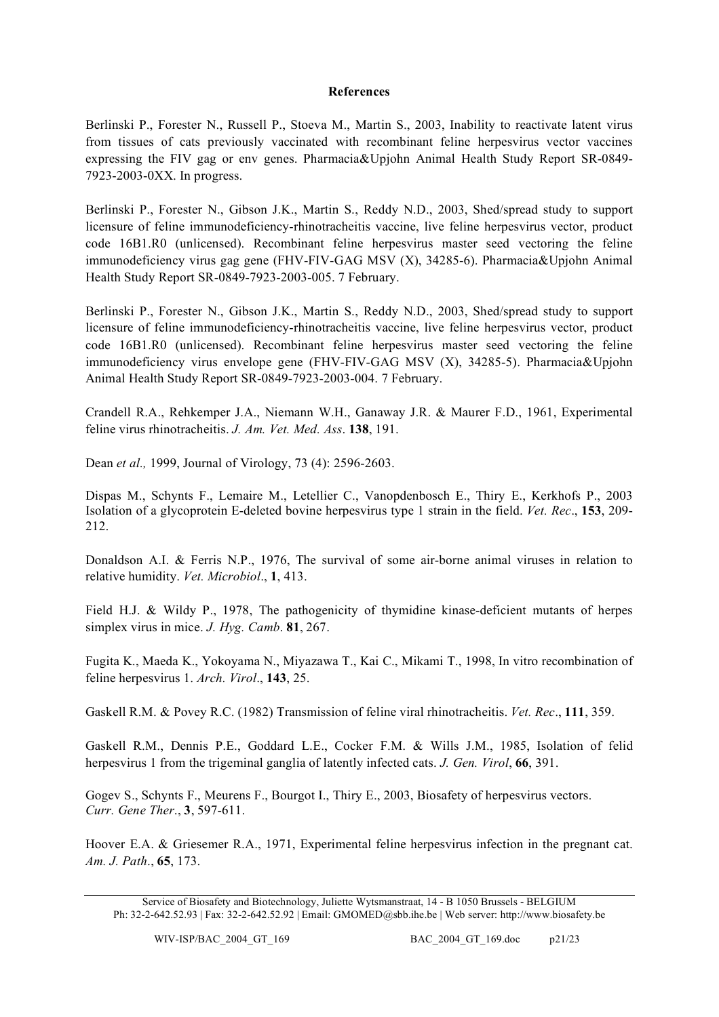#### **References**

Berlinski P., Forester N., Russell P., Stoeva M., Martin S., 2003, Inability to reactivate latent virus from tissues of cats previously vaccinated with recombinant feline herpesvirus vector vaccines expressing the FIV gag or env genes. Pharmacia&Upjohn Animal Health Study Report SR-0849- 7923-2003-0XX. In progress.

Berlinski P., Forester N., Gibson J.K., Martin S., Reddy N.D., 2003, Shed/spread study to support licensure of feline immunodeficiency-rhinotracheitis vaccine, live feline herpesvirus vector, product code 16B1.R0 (unlicensed). Recombinant feline herpesvirus master seed vectoring the feline immunodeficiency virus gag gene (FHV-FIV-GAG MSV (X), 34285-6). Pharmacia&Upjohn Animal Health Study Report SR-0849-7923-2003-005. 7 February.

Berlinski P., Forester N., Gibson J.K., Martin S., Reddy N.D., 2003, Shed/spread study to support licensure of feline immunodeficiency-rhinotracheitis vaccine, live feline herpesvirus vector, product code 16B1.R0 (unlicensed). Recombinant feline herpesvirus master seed vectoring the feline immunodeficiency virus envelope gene (FHV-FIV-GAG MSV (X), 34285-5). Pharmacia&Upjohn Animal Health Study Report SR-0849-7923-2003-004. 7 February.

Crandell R.A., Rehkemper J.A., Niemann W.H., Ganaway J.R. & Maurer F.D., 1961, Experimental feline virus rhinotracheitis. *J. Am. Vet. Med. Ass*. **138**, 191.

Dean *et al.,* 1999, Journal of Virology, 73 (4): 2596-2603.

Dispas M., Schynts F., Lemaire M., Letellier C., Vanopdenbosch E., Thiry E., Kerkhofs P., 2003 Isolation of a glycoprotein E-deleted bovine herpesvirus type 1 strain in the field. *Vet. Rec*., **153**, 209- 212.

Donaldson A.I. & Ferris N.P., 1976, The survival of some air-borne animal viruses in relation to relative humidity. *Vet. Microbiol*., **1**, 413.

Field H.J. & Wildy P., 1978, The pathogenicity of thymidine kinase-deficient mutants of herpes simplex virus in mice. *J. Hyg. Camb*. **81**, 267.

Fugita K., Maeda K., Yokoyama N., Miyazawa T., Kai C., Mikami T., 1998, In vitro recombination of feline herpesvirus 1. *Arch. Virol*., **143**, 25.

Gaskell R.M. & Povey R.C. (1982) Transmission of feline viral rhinotracheitis. *Vet. Rec*., **111**, 359.

Gaskell R.M., Dennis P.E., Goddard L.E., Cocker F.M. & Wills J.M., 1985, Isolation of felid herpesvirus 1 from the trigeminal ganglia of latently infected cats. *J. Gen. Virol*, **66**, 391.

Gogev S., Schynts F., Meurens F., Bourgot I., Thiry E., 2003, Biosafety of herpesvirus vectors. *Curr. Gene Ther*., **3**, 597-611.

Hoover E.A. & Griesemer R.A., 1971, Experimental feline herpesvirus infection in the pregnant cat. *Am. J. Path*., **65**, 173.

Service of Biosafety and Biotechnology, Juliette Wytsmanstraat, 14 - B 1050 Brussels - BELGIUM Ph: 32-2-642.52.93 | Fax: 32-2-642.52.92 | Email: GMOMED@sbb.ihe.be | Web server: http://www.biosafety.be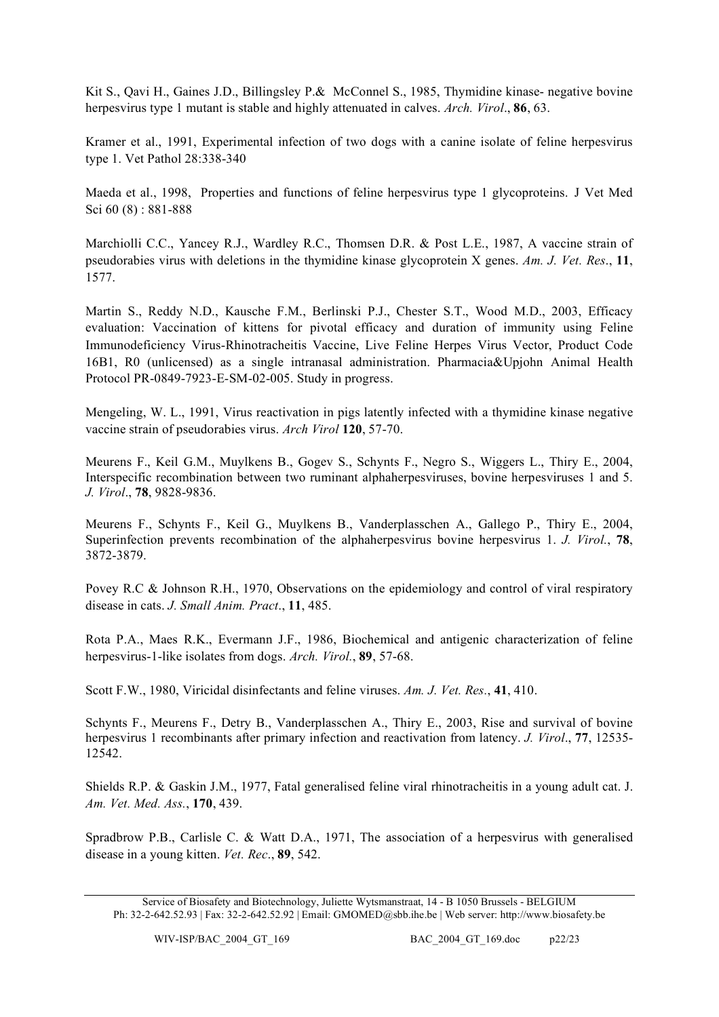Kit S., Qavi H., Gaines J.D., Billingsley P.& McConnel S., 1985, Thymidine kinase- negative bovine herpesvirus type 1 mutant is stable and highly attenuated in calves. *Arch. Virol*., **86**, 63.

Kramer et al., 1991, Experimental infection of two dogs with a canine isolate of feline herpesvirus type 1. Vet Pathol 28:338-340

Maeda et al., 1998, Properties and functions of feline herpesvirus type 1 glycoproteins. J Vet Med Sci 60 (8) : 881-888

Marchiolli C.C., Yancey R.J., Wardley R.C., Thomsen D.R. & Post L.E., 1987, A vaccine strain of pseudorabies virus with deletions in the thymidine kinase glycoprotein X genes. *Am. J. Vet. Res*., **11**, 1577.

Martin S., Reddy N.D., Kausche F.M., Berlinski P.J., Chester S.T., Wood M.D., 2003, Efficacy evaluation: Vaccination of kittens for pivotal efficacy and duration of immunity using Feline Immunodeficiency Virus-Rhinotracheitis Vaccine, Live Feline Herpes Virus Vector, Product Code 16B1, R0 (unlicensed) as a single intranasal administration. Pharmacia&Upjohn Animal Health Protocol PR-0849-7923-E-SM-02-005. Study in progress.

Mengeling, W. L., 1991, Virus reactivation in pigs latently infected with a thymidine kinase negative vaccine strain of pseudorabies virus. *Arch Virol* **120**, 57-70.

Meurens F., Keil G.M., Muylkens B., Gogev S., Schynts F., Negro S., Wiggers L., Thiry E., 2004, Interspecific recombination between two ruminant alphaherpesviruses, bovine herpesviruses 1 and 5. *J. Virol*., **78**, 9828-9836.

Meurens F., Schynts F., Keil G., Muylkens B., Vanderplasschen A., Gallego P., Thiry E., 2004, Superinfection prevents recombination of the alphaherpesvirus bovine herpesvirus 1. *J. Virol.*, **78**, 3872-3879.

Povey R.C & Johnson R.H., 1970, Observations on the epidemiology and control of viral respiratory disease in cats. *J. Small Anim. Pract*., **11**, 485.

Rota P.A., Maes R.K., Evermann J.F., 1986, Biochemical and antigenic characterization of feline herpesvirus-1-like isolates from dogs. *Arch. Virol.*, **89**, 57-68.

Scott F.W., 1980, Viricidal disinfectants and feline viruses. *Am. J. Vet. Res.*, **41**, 410.

Schynts F., Meurens F., Detry B., Vanderplasschen A., Thiry E., 2003, Rise and survival of bovine herpesvirus 1 recombinants after primary infection and reactivation from latency. *J. Virol*., **77**, 12535- 12542.

Shields R.P. & Gaskin J.M., 1977, Fatal generalised feline viral rhinotracheitis in a young adult cat. J. *Am. Vet. Med. Ass.*, **170**, 439.

Spradbrow P.B., Carlisle C. & Watt D.A., 1971, The association of a herpesvirus with generalised disease in a young kitten. *Vet. Rec*., **89**, 542.

Service of Biosafety and Biotechnology, Juliette Wytsmanstraat, 14 - B 1050 Brussels - BELGIUM Ph: 32-2-642.52.93 | Fax: 32-2-642.52.92 | Email: GMOMED@sbb.ihe.be | Web server: http://www.biosafety.be